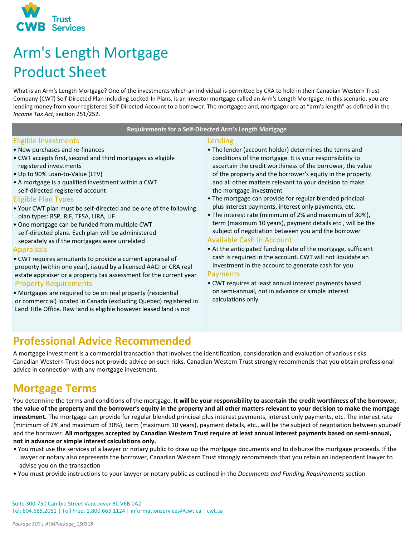

# Arm's Length Mortgage Product Sheet

What is an Arm's Length Mortgage? One of the investments which an individual is permitted by CRA to hold in their Canadian Western Trust Company (CWT) Self-Directed Plan including Locked-In Plans, is an investor mortgage called an Arm's Length Mortgage. In this scenario, you are lending money from your registered Self-Directed Account to a borrower. The mortgagee and, mortgagor are at "arm's length" as defined in the *Income Tax Act*, section 251/252.

#### **Requirements for a Self-Directed Arm's Length Mortgage**

#### Eligible Investments

- New purchases and re-finances
- CWT accepts first, second and third mortgages as eligible registered investments
- Up to 90% Loan-to-Value (LTV)
- A mortgage is a qualified investment within a CWT self-directed registered account

#### Eligible Plan Types

- Your CWT plan must be self-directed and be one of the following plan types: RSP, RIF, TFSA, LIRA, LIF
- One mortgage can be funded from multiple CWT self-directed plans. Each plan will be administered separately as if the mortgages were unrelated

#### Appraisals

- CWT requires annuitants to provide a current appraisal of property (within one year), issued by a licensed AACI or CRA real estate appraiser or a property tax assessment for the current year Property Requirements
- Mortgages are required to be on real property (residential or commercial) located in Canada (excluding Quebec) registered in Land Title Office. Raw land is eligible however leased land is not

#### Lending

- The lender (account holder) determines the terms and conditions of the mortgage. It is your responsibility to ascertain the credit worthiness of the borrower, the value of the property and the borrower's equity in the property and all other matters relevant to your decision to make the mortgage investment
- The mortgage can provide for regular blended principal plus interest payments, interest only payments, etc.
- The interest rate (minimum of 2% and maximum of 30%), term (maximum 10 years), payment details etc., will be the subject of negotiation between you and the borrower

#### Available Cash in Account

• At the anticipated funding date of the mortgage, sufficient cash is required in the account. CWT will not liquidate an investment in the account to generate cash for you

#### Payments

• CWT requires at least annual interest payments based on semi-annual, not in advance or simple interest calculations only

### **Professional Advice Recommended**

A mortgage investment is a commercial transaction that involves the identification, consideration and evaluation of various risks. Canadian Western Trust does not provide advice on such risks. Canadian Western Trust strongly recommends that you obtain professional advice in connection with any mortgage investment.

### **Mortgage Terms**

You determine the terms and conditions of the mortgage. **It will be your responsibility to ascertain the credit worthiness of the borrower, the value of the property and the borrower's equity in the property and all other matters relevant to your decision to make the mortgage investment.** The mortgage can provide for regular blended principal plus interest payments, interest only payments, etc. The interest rate (minimum of 2% and maximum of 30%), term (maximum 10 years), payment details, etc., will be the subject of negotiation between yourself and the borrower. **All mortgages accepted by Canadian Western Trust require at least annual interest payments based on semi-annual, not in advance or simple interest calculations only.**

- You must use the services of a lawyer or notary public to draw up the mortgage documents and to disburse the mortgage proceeds. If the lawyer or notary also represents the borrower, Canadian Western Trust strongly recommends that you retain an independent lawyer to advise you on the transaction
- You must provide instructions to your lawyer or notary public as outlined in the *Documents and Funding Requirements* section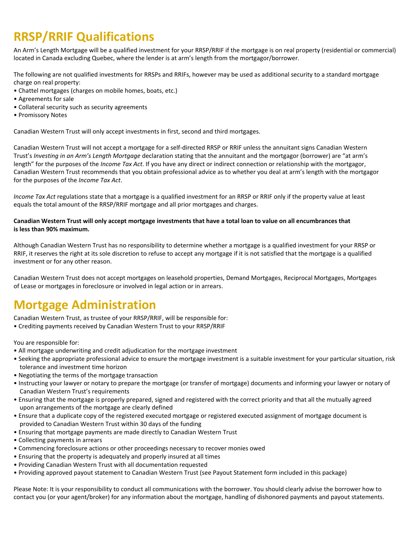# **RRSP/RRIF Qualifications**

An Arm's Length Mortgage will be a qualified investment for your RRSP/RRIF if the mortgage is on real property (residential or commercial) located in Canada excluding Quebec, where the lender is at arm's length from the mortgagor/borrower.

The following are not qualified investments for RRSPs and RRIFs, however may be used as additional security to a standard mortgage charge on real property:

- Chattel mortgages (charges on mobile homes, boats, etc.)
- Agreements for sale
- Collateral security such as security agreements
- Promissory Notes

Canadian Western Trust will only accept investments in first, second and third mortgages.

Canadian Western Trust will not accept a mortgage for a self-directed RRSP or RRIF unless the annuitant signs Canadian Western Trust's *Investing in an Arm's Length Mortgage* declaration stating that the annuitant and the mortgagor (borrower) are "at arm's length" for the purposes of the *Income Tax Act*. If you have any direct or indirect connection or relationship with the mortgagor, Canadian Western Trust recommends that you obtain professional advice as to whether you deal at arm's length with the mortgagor for the purposes of the *Income Tax Act*.

*Income Tax Act* regulations state that a mortgage is a qualified investment for an RRSP or RRIF only if the property value at least equals the total amount of the RRSP/RRIF mortgage and all prior mortgages and charges.

#### **Canadian Western Trust will only accept mortgage investments that have a total loan to value on all encumbrances that is less than 90% maximum.**

Although Canadian Western Trust has no responsibility to determine whether a mortgage is a qualified investment for your RRSP or RRIF, it reserves the right at its sole discretion to refuse to accept any mortgage if it is not satisfied that the mortgage is a qualified investment or for any other reason.

Canadian Western Trust does not accept mortgages on leasehold properties, Demand Mortgages, Reciprocal Mortgages, Mortgages of Lease or mortgages in foreclosure or involved in legal action or in arrears.

## **Mortgage Administration**

Canadian Western Trust, as trustee of your RRSP/RRIF, will be responsible for:

• Crediting payments received by Canadian Western Trust to your RRSP/RRIF

You are responsible for:

- All mortgage underwriting and credit adjudication for the mortgage investment
- Seeking the appropriate professional advice to ensure the mortgage investment is a suitable investment for your particular situation, risk tolerance and investment time horizon
- Negotiating the terms of the mortgage transaction
- Instructing your lawyer or notary to prepare the mortgage (or transfer of mortgage) documents and informing your lawyer or notary of Canadian Western Trust's requirements
- Ensuring that the mortgage is properly prepared, signed and registered with the correct priority and that all the mutually agreed upon arrangements of the mortgage are clearly defined
- Ensure that a duplicate copy of the registered executed mortgage or registered executed assignment of mortgage document is provided to Canadian Western Trust within 30 days of the funding
- Ensuring that mortgage payments are made directly to Canadian Western Trust
- Collecting payments in arrears
- Commencing foreclosure actions or other proceedings necessary to recover monies owed
- Ensuring that the property is adequately and properly insured at all times
- Providing Canadian Western Trust with all documentation requested
- Providing approved payout statement to Canadian Western Trust (see Payout Statement form included in this package)

Please Note: It is your responsibility to conduct all communications with the borrower. You should clearly advise the borrower how to contact you (or your agent/broker) for any information about the mortgage, handling of dishonored payments and payout statements.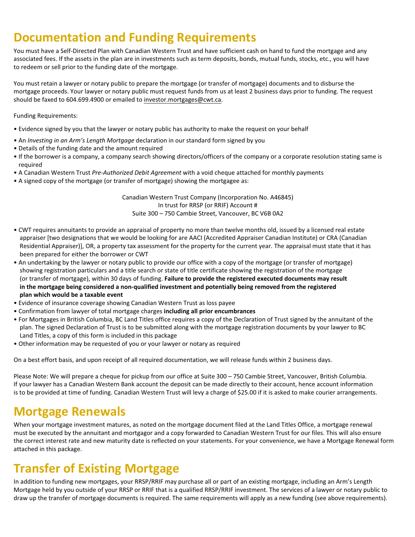# **Documentation and Funding Requirements**

You must have a Self-Directed Plan with Canadian Western Trust and have sufficient cash on hand to fund the mortgage and any associated fees. If the assets in the plan are in investments such as term deposits, bonds, mutual funds, stocks, etc., you will have to redeem or sell prior to the funding date of the mortgage.

You must retain a lawyer or notary public to prepare the mortgage (or transfer of mortgage) documents and to disburse the mortgage proceeds. Your lawyer or notary public must request funds from us at least 2 business days prior to funding. The request should be faxed to 604.699.4900 or emailed to investor.mortgages@cwt.ca.

Funding Requirements:

- Evidence signed by you that the lawyer or notary public has authority to make the request on your behalf
- An *Investing in an Arm's Length Mortgage* declaration in our standard form signed by you
- Details of the funding date and the amount required
- If the borrower is a company, a company search showing directors/officers of the company or a corporate resolution stating same is required
- A Canadian Western Trust *Pre-Authorized Debit Agreement* with a void cheque attached for monthly payments
- A signed copy of the mortgage (or transfer of mortgage) showing the mortgagee as:

Canadian Western Trust Company (Incorporation No. A46845) In trust for RRSP (or RRIF) Account # Suite 300 – 750 Cambie Street, Vancouver, BC V6B 0A2

- CWT requires annuitants to provide an appraisal of property no more than twelve months old, issued by a licensed real estate appraiser [two designations that we would be looking for are AACI (Accredited Appraiser Canadian Institute) or CRA (Canadian Residential Appraiser)], OR, a property tax assessment for the property for the current year. The appraisal must state that it has been prepared for either the borrower or CWT
- An undertaking by the lawyer or notary public to provide our office with a copy of the mortgage (or transfer of mortgage) showing registration particulars and a title search or state of title certificate showing the registration of the mortgage (or transfer of mortgage), within 30 days of funding. **Failure to provide the registered executed documents may result in the mortgage being considered a non-qualified investment and potentially being removed from the registered plan which would be a taxable event**
- Evidence of insurance coverage showing Canadian Western Trust as loss payee
- Confirmation from lawyer of total mortgage charges **including all prior encumbrances**
- For Mortgages in British Columbia, BC Land Titles office requires a copy of the Declaration of Trust signed by the annuitant of the plan. The signed Declaration of Trust is to be submitted along with the mortgage registration documents by your lawyer to BC Land Titles, a copy of this form is included in this package
- Other information may be requested of you or your lawyer or notary as required

On a best effort basis, and upon receipt of all required documentation, we will release funds within 2 business days.

Please Note: We will prepare a cheque for pickup from our office at Suite 300 – 750 Cambie Street, Vancouver, British Columbia. If your lawyer has a Canadian Western Bank account the deposit can be made directly to their account, hence account information is to be provided at time of funding. Canadian Western Trust will levy a charge of \$25.00 if it is asked to make courier arrangements.

# **Mortgage Renewals**

When your mortgage investment matures, as noted on the mortgage document filed at the Land Titles Office, a mortgage renewal must be executed by the annuitant and mortgagor and a copy forwarded to Canadian Western Trust for our files. This will also ensure the correct interest rate and new maturity date is reflected on your statements. For your convenience, we have a Mortgage Renewal form attached in this package.

# **Transfer of Existing Mortgage**

In addition to funding new mortgages, your RRSP/RRIF may purchase all or part of an existing mortgage, including an Arm's Length Mortgage held by you outside of your RRSP or RRIF that is a qualified RRSP/RRIF investment. The services of a lawyer or notary public to draw up the transfer of mortgage documents is required. The same requirements will apply as a new funding (see above requirements).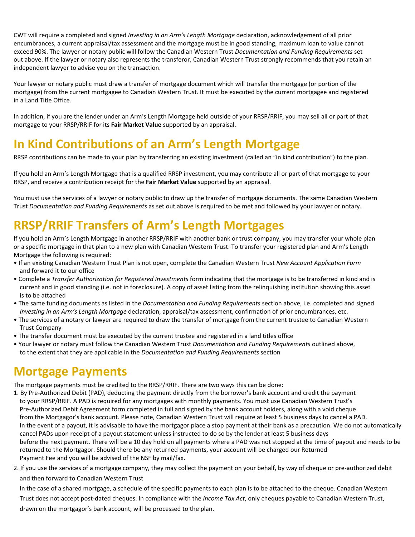CWT will require a completed and signed *Investing in an Arm's Length Mortgage* declaration, acknowledgement of all prior encumbrances, a current appraisal/tax assessment and the mortgage must be in good standing, maximum loan to value cannot exceed 90%. The lawyer or notary public will follow the Canadian Western Trust *Documentation and Funding Requirements* set out above. If the lawyer or notary also represents the transferor, Canadian Western Trust strongly recommends that you retain an independent lawyer to advise you on the transaction.

Your lawyer or notary public must draw a transfer of mortgage document which will transfer the mortgage (or portion of the mortgage) from the current mortgagee to Canadian Western Trust. It must be executed by the current mortgagee and registered in a Land Title Office.

In addition, if you are the lender under an Arm's Length Mortgage held outside of your RRSP/RRIF, you may sell all or part of that mortgage to your RRSP/RRIF for its **Fair Market Value** supported by an appraisal.

# **In Kind Contributions of an Arm's Length Mortgage**

RRSP contributions can be made to your plan by transferring an existing investment (called an "in kind contribution") to the plan.

If you hold an Arm's Length Mortgage that is a qualified RRSP investment, you may contribute all or part of that mortgage to your RRSP, and receive a contribution receipt for the **Fair Market Value** supported by an appraisal.

You must use the services of a lawyer or notary public to draw up the transfer of mortgage documents. The same Canadian Western Trust *Documentation and Funding Requirements* as set out above is required to be met and followed by your lawyer or notary.

# **RRSP/RRIF Transfers of Arm's Length Mortgages**

If you hold an Arm's Length Mortgage in another RRSP/RRIF with another bank or trust company, you may transfer your whole plan or a specific mortgage in that plan to a new plan with Canadian Western Trust. To transfer your registered plan and Arm's Length Mortgage the following is required:

- If an existing Canadian Western Trust Plan is not open, complete the Canadian Western Trust *New Account Application Form* and forward it to our office
- Complete a *Transfer Authorization for Registered Investments* form indicating that the mortgage is to be transferred in kind and is current and in good standing (i.e. not in foreclosure). A copy of asset listing from the relinquishing institution showing this asset is to be attached
- The same funding documents as listed in the *Documentation and Funding Requirements* section above, i.e. completed and signed *Investing in an Arm's Length Mortgage* declaration, appraisal/tax assessment, confirmation of prior encumbrances, etc.
- The services of a notary or lawyer are required to draw the transfer of mortgage from the current trustee to Canadian Western Trust Company
- The transfer document must be executed by the current trustee and registered in a land titles office
- Your lawyer or notary must follow the Canadian Western Trust *Documentation and Funding Requirements* outlined above, to the extent that they are applicable in the *Documentation and Funding Requirements* section

# **Mortgage Payments**

The mortgage payments must be credited to the RRSP/RRIF. There are two ways this can be done:

- 1. By Pre-Authorized Debit (PAD), deducting the payment directly from the borrower's bank account and credit the payment to your RRSP/RRIF. A PAD is required for any mortgages with monthly payments. You must use Canadian Western Trust's Pre-Authorized Debit Agreement form completed in full and signed by the bank account holders, along with a void cheque from the Mortgagor's bank account. Please note, Canadian Western Trust will require at least 5 business days to cancel a PAD. In the event of a payout, it is advisable to have the mortgagor place a stop payment at their bank as a precaution. We do not automatically cancel PADs upon receipt of a payout statement unless instructed to do so by the lender at least 5 business days before the next payment. There will be a 10 day hold on all payments where a PAD was not stopped at the time of payout and needs to be returned to the Mortgagor. Should there be any returned payments, your account will be charged our Returned Payment Fee and you will be advised of the NSF by mail/fax.
- 2. If you use the services of a mortgage company, they may collect the payment on your behalf, by way of cheque or pre-authorized debit and then forward to Canadian Western Trust

In the case of a shared mortgage, a schedule of the specific payments to each plan is to be attached to the cheque. Canadian Western Trust does not accept post-dated cheques. In compliance with the *Income Tax Act*, only cheques payable to Canadian Western Trust, drawn on the mortgagor's bank account, will be processed to the plan.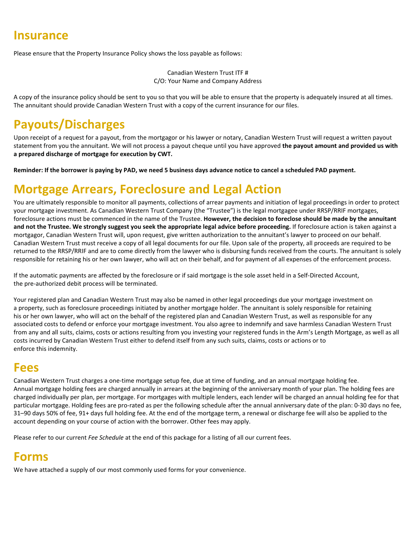### **Insurance**

Please ensure that the Property Insurance Policy shows the loss payable as follows:

Canadian Western Trust ITF # C/O: Your Name and Company Address

A copy of the insurance policy should be sent to you so that you will be able to ensure that the property is adequately insured at all times. The annuitant should provide Canadian Western Trust with a copy of the current insurance for our files.

# **Payouts/Discharges**

Upon receipt of a request for a payout, from the mortgagor or his lawyer or notary, Canadian Western Trust will request a written payout statement from you the annuitant. We will not process a payout cheque until you have approved **the payout amount and provided us with a prepared discharge of mortgage for execution by CWT.**

**Reminder: If the borrower is paying by PAD, we need 5 business days advance notice to cancel a scheduled PAD payment.** 

## **Mortgage Arrears, Foreclosure and Legal Action**

You are ultimately responsible to monitor all payments, collections of arrear payments and initiation of legal proceedings in order to protect your mortgage investment. As Canadian Western Trust Company (the "Trustee") is the legal mortgagee under RRSP/RRIF mortgages, foreclosure actions must be commenced in the name of the Trustee. **However, the decision to foreclose should be made by the annuitant and not the Trustee. We strongly suggest you seek the appropriate legal advice before proceeding.** If foreclosure action is taken against a mortgagor, Canadian Western Trust will, upon request, give written authorization to the annuitant's lawyer to proceed on our behalf. Canadian Western Trust must receive a copy of all legal documents for our file. Upon sale of the property, all proceeds are required to be returned to the RRSP/RRIF and are to come directly from the lawyer who is disbursing funds received from the courts. The annuitant is solely responsible for retaining his or her own lawyer, who will act on their behalf, and for payment of all expenses of the enforcement process.

If the automatic payments are affected by the foreclosure or if said mortgage is the sole asset held in a Self-Directed Account, the pre-authorized debit process will be terminated.

Your registered plan and Canadian Western Trust may also be named in other legal proceedings due your mortgage investment on a property, such as foreclosure proceedings initiated by another mortgage holder. The annuitant is solely responsible for retaining his or her own lawyer, who will act on the behalf of the registered plan and Canadian Western Trust, as well as responsible for any associated costs to defend or enforce your mortgage investment. You also agree to indemnify and save harmless Canadian Western Trust from any and all suits, claims, costs or actions resulting from you investing your registered funds in the Arm's Length Mortgage, as well as all costs incurred by Canadian Western Trust either to defend itself from any such suits, claims, costs or actions or to enforce this indemnity.

### **Fees**

Canadian Western Trust charges a one-time mortgage setup fee, due at time of funding, and an annual mortgage holding fee. Annual mortgage holding fees are charged annually in arrears at the beginning of the anniversary month of your plan. The holding fees are charged individually per plan, per mortgage. For mortgages with multiple lenders, each lender will be charged an annual holding fee for that particular mortgage. Holding fees are pro-rated as per the following schedule after the annual anniversary date of the plan: 0-30 days no fee, 31–90 days 50% of fee, 91+ days full holding fee. At the end of the mortgage term, a renewal or discharge fee will also be applied to the account depending on your course of action with the borrower. Other fees may apply.

Please refer to our current *Fee Schedule* at the end of this package for a listing of all our current fees.

## **Forms**

We have attached a supply of our most commonly used forms for your convenience.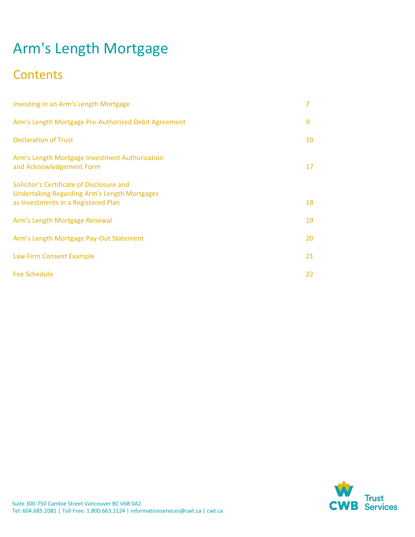# Arm's Length Mortgage

# **Contents**

| Investing in an Arm's Length Mortgage                                                                                                   | 7  |
|-----------------------------------------------------------------------------------------------------------------------------------------|----|
| Arm's Length Mortgage Pre-Authorized Debit Agreement                                                                                    | 9  |
| <b>Declaration of Trust</b>                                                                                                             | 10 |
| Arm's Length Mortgage Investment Authorization<br>and Acknowledgement Form                                                              | 17 |
| Solicitor's Certificate of Disclosure and<br><b>Undertaking Regarding Arm's Length Mortgages</b><br>as Investments in a Registered Plan | 18 |
| Arm's Length Mortgage Renewal                                                                                                           | 19 |
| Arm's Length Mortgage Pay-Out Statement                                                                                                 | 20 |
| Law Firm Consent Example                                                                                                                | 21 |
| <b>Fee Schedule</b>                                                                                                                     | 22 |

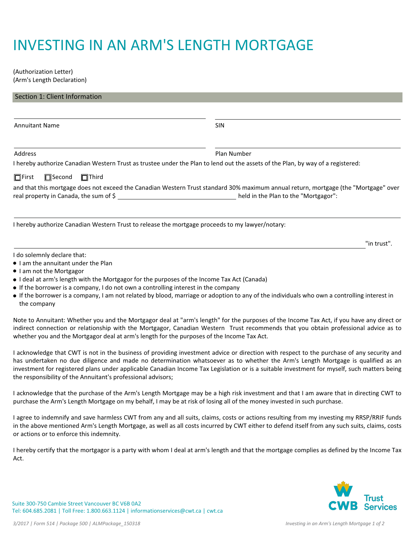# INVESTING IN AN ARM'S LENGTH MORTGAGE

(Authorization Letter) (Arm's Length Declaration)

| Section 1: Client Information                                                                                                   |                                                                                                                                                                             |
|---------------------------------------------------------------------------------------------------------------------------------|-----------------------------------------------------------------------------------------------------------------------------------------------------------------------------|
|                                                                                                                                 |                                                                                                                                                                             |
| <b>Annuitant Name</b>                                                                                                           | <b>SIN</b>                                                                                                                                                                  |
| Address                                                                                                                         | Plan Number                                                                                                                                                                 |
| I hereby authorize Canadian Western Trust as trustee under the Plan to lend out the assets of the Plan, by way of a registered: |                                                                                                                                                                             |
| $\Box$ First<br>$\Box$ Second<br>$\Box$ Third                                                                                   |                                                                                                                                                                             |
| real property in Canada, the sum of \$                                                                                          | and that this mortgage does not exceed the Canadian Western Trust standard 30% maximum annual return, mortgage (the "Mortgage" over<br>held in the Plan to the "Mortgagor": |
| I hereby authorize Canadian Western Trust to release the mortgage proceeds to my lawyer/notary:                                 |                                                                                                                                                                             |
|                                                                                                                                 | "in trust".                                                                                                                                                                 |
| I do solemnly declare that:                                                                                                     |                                                                                                                                                                             |

- I am the annuitant under the Plan
- I am not the Mortgagor
- I deal at arm's length with the Mortgagor for the purposes of the Income Tax Act (Canada)
- If the borrower is a company, I do not own a controlling interest in the company
- If the borrower is a company, I am not related by blood, marriage or adoption to any of the individuals who own a controlling interest in the company

Note to Annuitant: Whether you and the Mortgagor deal at "arm's length" for the purposes of the Income Tax Act, if you have any direct or indirect connection or relationship with the Mortgagor, Canadian Western Trust recommends that you obtain professional advice as to whether you and the Mortgagor deal at arm's length for the purposes of the Income Tax Act.

I acknowledge that CWT is not in the business of providing investment advice or direction with respect to the purchase of any security and has undertaken no due diligence and made no determination whatsoever as to whether the Arm's Length Mortgage is qualified as an investment for registered plans under applicable Canadian Income Tax Legislation or is a suitable investment for myself, such matters being the responsibility of the Annuitant's professional advisors;

I acknowledge that the purchase of the Arm's Length Mortgage may be a high risk investment and that I am aware that in directing CWT to purchase the Arm's Length Mortgage on my behalf, I may be at risk of losing all of the money invested in such purchase.

I agree to indemnify and save harmless CWT from any and all suits, claims, costs or actions resulting from my investing my RRSP/RRIF funds in the above mentioned Arm's Length Mortgage, as well as all costs incurred by CWT either to defend itself from any such suits, claims, costs or actions or to enforce this indemnity.

I hereby certify that the mortgagor is a party with whom I deal at arm's length and that the mortgage complies as defined by the Income Tax Act.



Suite 300-750 Cambie Street Vancouver BC V6B 0A2 Tel: 604.685.2081 | Toll Free: 1.800.663.1124 | informationservices@cwt.ca | cwt.ca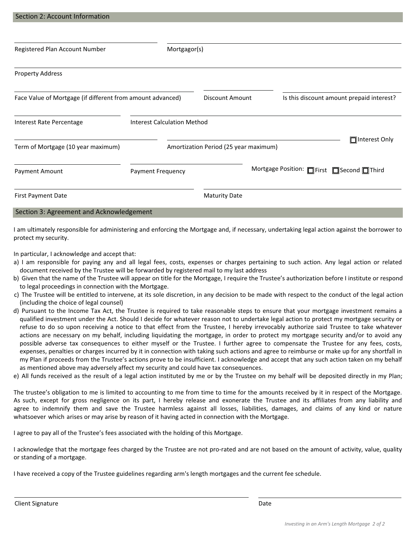| Section 2: Account Information                             |                                    |                                       |                                           |                 |
|------------------------------------------------------------|------------------------------------|---------------------------------------|-------------------------------------------|-----------------|
|                                                            |                                    |                                       |                                           |                 |
| Registered Plan Account Number                             | Mortgagor(s)                       |                                       |                                           |                 |
| <b>Property Address</b>                                    |                                    |                                       |                                           |                 |
| Face Value of Mortgage (if different from amount advanced) |                                    | Discount Amount                       | Is this discount amount prepaid interest? |                 |
| Interest Rate Percentage                                   | <b>Interest Calculation Method</b> |                                       |                                           |                 |
| Term of Mortgage (10 year maximum)                         |                                    | Amortization Period (25 year maximum) |                                           | □ Interest Only |

| <b>Payment Amount</b>                    | <b>Payment Frequency</b> |                      | Mortgage Position: □ First □ Second □ Third |
|------------------------------------------|--------------------------|----------------------|---------------------------------------------|
| <b>First Payment Date</b>                |                          | <b>Maturity Date</b> |                                             |
| Section 3: Agreement and Acknowledgement |                          |                      |                                             |

I am ultimately responsible for administering and enforcing the Mortgage and, if necessary, undertaking legal action against the borrower to protect my security.

In particular, I acknowledge and accept that:

- a) I am responsible for paying any and all legal fees, costs, expenses or charges pertaining to such action. Any legal action or related document received by the Trustee will be forwarded by registered mail to my last address
- b) Given that the name of the Trustee will appear on title for the Mortgage, I require the Trustee's authorization before I institute or respond to legal proceedings in connection with the Mortgage.
- c) The Trustee will be entitled to intervene, at its sole discretion, in any decision to be made with respect to the conduct of the legal action (including the choice of legal counsel)
- d) Pursuant to the Income Tax Act, the Trustee is required to take reasonable steps to ensure that your mortgage investment remains a qualified investment under the Act. Should I decide for whatever reason not to undertake legal action to protect my mortgage security or refuse to do so upon receiving a notice to that effect from the Trustee, I hereby irrevocably authorize said Trustee to take whatever actions are necessary on my behalf, including liquidating the mortgage, in order to protect my mortgage security and/or to avoid any possible adverse tax consequences to either myself or the Trustee. I further agree to compensate the Trustee for any fees, costs, expenses, penalties or charges incurred by it in connection with taking such actions and agree to reimburse or make up for any shortfall in my Plan if proceeds from the Trustee's actions prove to be insufficient. I acknowledge and accept that any such action taken on my behalf as mentioned above may adversely affect my security and could have tax consequences.
- e) All funds received as the result of a legal action instituted by me or by the Trustee on my behalf will be deposited directly in my Plan;

The trustee's obligation to me is limited to accounting to me from time to time for the amounts received by it in respect of the Mortgage. As such, except for gross negligence on its part, I hereby release and exonerate the Trustee and its affiliates from any liability and agree to indemnify them and save the Trustee harmless against all losses, liabilities, damages, and claims of any kind or nature whatsoever which arises or may arise by reason of it having acted in connection with the Mortgage.

I agree to pay all of the Trustee's fees associated with the holding of this Mortgage.

I acknowledge that the mortgage fees charged by the Trustee are not pro-rated and are not based on the amount of activity, value, quality or standing of a mortgage.

I have received a copy of the Trustee guidelines regarding arm's length mortgages and the current fee schedule.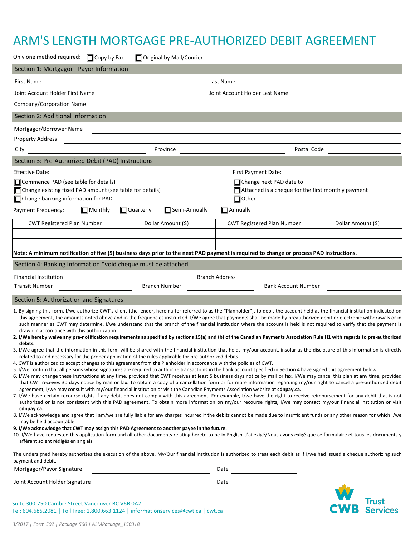# ARM'S LENGTH MORTGAGE PRE-AUTHORIZED DEBIT AGREEMENT

| Only one method required: [Copy by Fax                                                                                                                                                                                                                                                                                                                                                                                                                                  |                |                                                                            | □ Original by Mail/Courier |                                                                                                                                                                                                                                                                                                                                                                                                                                                                                                                                                                                                                                                                                                                                                                                                                                                                                                                                                                                                                                                                                                                                                                                                                                                                                                                                                                                                                                                                                                                                                                                                                                                                                                                                                                                                                                                                                                                                                                                                                                                                                                                                                                                                                                                                                                                |                    |
|-------------------------------------------------------------------------------------------------------------------------------------------------------------------------------------------------------------------------------------------------------------------------------------------------------------------------------------------------------------------------------------------------------------------------------------------------------------------------|----------------|----------------------------------------------------------------------------|----------------------------|----------------------------------------------------------------------------------------------------------------------------------------------------------------------------------------------------------------------------------------------------------------------------------------------------------------------------------------------------------------------------------------------------------------------------------------------------------------------------------------------------------------------------------------------------------------------------------------------------------------------------------------------------------------------------------------------------------------------------------------------------------------------------------------------------------------------------------------------------------------------------------------------------------------------------------------------------------------------------------------------------------------------------------------------------------------------------------------------------------------------------------------------------------------------------------------------------------------------------------------------------------------------------------------------------------------------------------------------------------------------------------------------------------------------------------------------------------------------------------------------------------------------------------------------------------------------------------------------------------------------------------------------------------------------------------------------------------------------------------------------------------------------------------------------------------------------------------------------------------------------------------------------------------------------------------------------------------------------------------------------------------------------------------------------------------------------------------------------------------------------------------------------------------------------------------------------------------------------------------------------------------------------------------------------------------------|--------------------|
| Section 1: Mortgagor - Payor Information                                                                                                                                                                                                                                                                                                                                                                                                                                |                |                                                                            |                            |                                                                                                                                                                                                                                                                                                                                                                                                                                                                                                                                                                                                                                                                                                                                                                                                                                                                                                                                                                                                                                                                                                                                                                                                                                                                                                                                                                                                                                                                                                                                                                                                                                                                                                                                                                                                                                                                                                                                                                                                                                                                                                                                                                                                                                                                                                                |                    |
| First Name                                                                                                                                                                                                                                                                                                                                                                                                                                                              |                | <u> 1989 - John Stein, Amerikaansk politiker (</u>                         |                            | Last Name                                                                                                                                                                                                                                                                                                                                                                                                                                                                                                                                                                                                                                                                                                                                                                                                                                                                                                                                                                                                                                                                                                                                                                                                                                                                                                                                                                                                                                                                                                                                                                                                                                                                                                                                                                                                                                                                                                                                                                                                                                                                                                                                                                                                                                                                                                      |                    |
| Joint Account Holder First Name                                                                                                                                                                                                                                                                                                                                                                                                                                         |                |                                                                            |                            | Joint Account Holder Last Name                                                                                                                                                                                                                                                                                                                                                                                                                                                                                                                                                                                                                                                                                                                                                                                                                                                                                                                                                                                                                                                                                                                                                                                                                                                                                                                                                                                                                                                                                                                                                                                                                                                                                                                                                                                                                                                                                                                                                                                                                                                                                                                                                                                                                                                                                 |                    |
| Company/Corporation Name                                                                                                                                                                                                                                                                                                                                                                                                                                                |                |                                                                            |                            |                                                                                                                                                                                                                                                                                                                                                                                                                                                                                                                                                                                                                                                                                                                                                                                                                                                                                                                                                                                                                                                                                                                                                                                                                                                                                                                                                                                                                                                                                                                                                                                                                                                                                                                                                                                                                                                                                                                                                                                                                                                                                                                                                                                                                                                                                                                |                    |
| Section 2: Additional Information                                                                                                                                                                                                                                                                                                                                                                                                                                       |                |                                                                            |                            |                                                                                                                                                                                                                                                                                                                                                                                                                                                                                                                                                                                                                                                                                                                                                                                                                                                                                                                                                                                                                                                                                                                                                                                                                                                                                                                                                                                                                                                                                                                                                                                                                                                                                                                                                                                                                                                                                                                                                                                                                                                                                                                                                                                                                                                                                                                |                    |
| Mortgagor/Borrower Name                                                                                                                                                                                                                                                                                                                                                                                                                                                 |                |                                                                            |                            |                                                                                                                                                                                                                                                                                                                                                                                                                                                                                                                                                                                                                                                                                                                                                                                                                                                                                                                                                                                                                                                                                                                                                                                                                                                                                                                                                                                                                                                                                                                                                                                                                                                                                                                                                                                                                                                                                                                                                                                                                                                                                                                                                                                                                                                                                                                |                    |
| <b>Property Address</b>                                                                                                                                                                                                                                                                                                                                                                                                                                                 |                | the control of the control of the control of the control of the control of |                            |                                                                                                                                                                                                                                                                                                                                                                                                                                                                                                                                                                                                                                                                                                                                                                                                                                                                                                                                                                                                                                                                                                                                                                                                                                                                                                                                                                                                                                                                                                                                                                                                                                                                                                                                                                                                                                                                                                                                                                                                                                                                                                                                                                                                                                                                                                                |                    |
| City                                                                                                                                                                                                                                                                                                                                                                                                                                                                    |                |                                                                            | Province                   | Postal Code                                                                                                                                                                                                                                                                                                                                                                                                                                                                                                                                                                                                                                                                                                                                                                                                                                                                                                                                                                                                                                                                                                                                                                                                                                                                                                                                                                                                                                                                                                                                                                                                                                                                                                                                                                                                                                                                                                                                                                                                                                                                                                                                                                                                                                                                                                    |                    |
| Section 3: Pre-Authorized Debit (PAD) Instructions                                                                                                                                                                                                                                                                                                                                                                                                                      |                |                                                                            |                            |                                                                                                                                                                                                                                                                                                                                                                                                                                                                                                                                                                                                                                                                                                                                                                                                                                                                                                                                                                                                                                                                                                                                                                                                                                                                                                                                                                                                                                                                                                                                                                                                                                                                                                                                                                                                                                                                                                                                                                                                                                                                                                                                                                                                                                                                                                                |                    |
| Effective Date:                                                                                                                                                                                                                                                                                                                                                                                                                                                         |                |                                                                            |                            | First Payment Date:                                                                                                                                                                                                                                                                                                                                                                                                                                                                                                                                                                                                                                                                                                                                                                                                                                                                                                                                                                                                                                                                                                                                                                                                                                                                                                                                                                                                                                                                                                                                                                                                                                                                                                                                                                                                                                                                                                                                                                                                                                                                                                                                                                                                                                                                                            |                    |
| □ Commence PAD (see table for details)<br>□ Change existing fixed PAD amount (see table for details)<br>Change banking information for PAD                                                                                                                                                                                                                                                                                                                              |                |                                                                            |                            | $\Box$ Change next PAD date to<br>$\Box$ Attached is a cheque for the first monthly payment<br>$\Box$ Other                                                                                                                                                                                                                                                                                                                                                                                                                                                                                                                                                                                                                                                                                                                                                                                                                                                                                                                                                                                                                                                                                                                                                                                                                                                                                                                                                                                                                                                                                                                                                                                                                                                                                                                                                                                                                                                                                                                                                                                                                                                                                                                                                                                                    |                    |
| Payment Frequency:                                                                                                                                                                                                                                                                                                                                                                                                                                                      | $\Box$ Monthly | $\Box$ Quarterly                                                           | $\Box$ Semi-Annually       | $\Box$ Annually                                                                                                                                                                                                                                                                                                                                                                                                                                                                                                                                                                                                                                                                                                                                                                                                                                                                                                                                                                                                                                                                                                                                                                                                                                                                                                                                                                                                                                                                                                                                                                                                                                                                                                                                                                                                                                                                                                                                                                                                                                                                                                                                                                                                                                                                                                |                    |
| <b>CWT Registered Plan Number</b>                                                                                                                                                                                                                                                                                                                                                                                                                                       |                |                                                                            | Dollar Amount (\$)         | <b>CWT Registered Plan Number</b>                                                                                                                                                                                                                                                                                                                                                                                                                                                                                                                                                                                                                                                                                                                                                                                                                                                                                                                                                                                                                                                                                                                                                                                                                                                                                                                                                                                                                                                                                                                                                                                                                                                                                                                                                                                                                                                                                                                                                                                                                                                                                                                                                                                                                                                                              | Dollar Amount (\$) |
|                                                                                                                                                                                                                                                                                                                                                                                                                                                                         |                |                                                                            |                            |                                                                                                                                                                                                                                                                                                                                                                                                                                                                                                                                                                                                                                                                                                                                                                                                                                                                                                                                                                                                                                                                                                                                                                                                                                                                                                                                                                                                                                                                                                                                                                                                                                                                                                                                                                                                                                                                                                                                                                                                                                                                                                                                                                                                                                                                                                                |                    |
|                                                                                                                                                                                                                                                                                                                                                                                                                                                                         |                |                                                                            |                            |                                                                                                                                                                                                                                                                                                                                                                                                                                                                                                                                                                                                                                                                                                                                                                                                                                                                                                                                                                                                                                                                                                                                                                                                                                                                                                                                                                                                                                                                                                                                                                                                                                                                                                                                                                                                                                                                                                                                                                                                                                                                                                                                                                                                                                                                                                                |                    |
|                                                                                                                                                                                                                                                                                                                                                                                                                                                                         |                |                                                                            |                            | Note: A minimum notification of five (5) business days prior to the next PAD payment is required to change or process PAD instructions.                                                                                                                                                                                                                                                                                                                                                                                                                                                                                                                                                                                                                                                                                                                                                                                                                                                                                                                                                                                                                                                                                                                                                                                                                                                                                                                                                                                                                                                                                                                                                                                                                                                                                                                                                                                                                                                                                                                                                                                                                                                                                                                                                                        |                    |
| Section 4: Banking Information *void cheque must be attached                                                                                                                                                                                                                                                                                                                                                                                                            |                |                                                                            |                            |                                                                                                                                                                                                                                                                                                                                                                                                                                                                                                                                                                                                                                                                                                                                                                                                                                                                                                                                                                                                                                                                                                                                                                                                                                                                                                                                                                                                                                                                                                                                                                                                                                                                                                                                                                                                                                                                                                                                                                                                                                                                                                                                                                                                                                                                                                                |                    |
| <b>Financial Institution</b>                                                                                                                                                                                                                                                                                                                                                                                                                                            |                | <u> 1990 - Johann Barbara, martin a</u>                                    |                            | <b>Branch Address</b>                                                                                                                                                                                                                                                                                                                                                                                                                                                                                                                                                                                                                                                                                                                                                                                                                                                                                                                                                                                                                                                                                                                                                                                                                                                                                                                                                                                                                                                                                                                                                                                                                                                                                                                                                                                                                                                                                                                                                                                                                                                                                                                                                                                                                                                                                          |                    |
| <b>Transit Number</b>                                                                                                                                                                                                                                                                                                                                                                                                                                                   |                |                                                                            | <b>Branch Number</b>       | <b>Bank Account Number</b>                                                                                                                                                                                                                                                                                                                                                                                                                                                                                                                                                                                                                                                                                                                                                                                                                                                                                                                                                                                                                                                                                                                                                                                                                                                                                                                                                                                                                                                                                                                                                                                                                                                                                                                                                                                                                                                                                                                                                                                                                                                                                                                                                                                                                                                                                     |                    |
| Section 5: Authorization and Signatures                                                                                                                                                                                                                                                                                                                                                                                                                                 |                |                                                                            |                            |                                                                                                                                                                                                                                                                                                                                                                                                                                                                                                                                                                                                                                                                                                                                                                                                                                                                                                                                                                                                                                                                                                                                                                                                                                                                                                                                                                                                                                                                                                                                                                                                                                                                                                                                                                                                                                                                                                                                                                                                                                                                                                                                                                                                                                                                                                                |                    |
| drawn in accordance with this authorization.<br>debits.<br>related to and necessary for the proper application of the rules applicable for pre-authorized debits.<br>4. CWT is authorized to accept changes to this agreement from the Planholder in accordance with the policies of CWT.<br>cdnpay.ca.<br>may be held accountable<br>9. I/We acknowledge that CWT may assign this PAD Agreement to another payee in the future.<br>afférant soient rédigés en anglais. |                |                                                                            |                            | 1. By signing this form, I/we authorize CWT's client (the lender, hereinafter referred to as the "Planholder"), to debit the account held at the financial institution indicated on<br>this agreement, the amounts noted above and in the frequencies instructed. I/We agree that payments shall be made by preauthorized debit or electronic withdrawals or in<br>such manner as CWT may determine. I/we understand that the branch of the financial institution where the account is held is not required to verify that the payment is<br>2. I/We hereby waive any pre-notification requirements as specified by sections 15(a) and (b) of the Canadian Payments Association Rule H1 with regards to pre-authorized<br>3. I/We agree that the information in this form will be shared with the financial institution that holds my/our account, insofar as the disclosure of this information is directly<br>5. I/We confirm that all persons whose signatures are required to authorize transactions in the bank account specified in Section 4 have signed this agreement below.<br>6. I/We may change these instructions at any time, provided that CWT receives at least 5 business days notice by mail or fax. I/We may cancel this plan at any time, provided<br>that CWT receives 30 days notice by mail or fax. To obtain a copy of a cancellation form or for more information regarding my/our right to cancel a pre-authorized debit<br>agreement, I/we may consult with my/our financial institution or visit the Canadian Payments Association website at cdnpay.ca.<br>7. I/We have certain recourse rights if any debit does not comply with this agreement. For example, I/we have the right to receive reimbursement for any debit that is not<br>authorized or is not consistent with this PAD agreement. To obtain more information on my/our recourse rights, I/we may contact my/our financial institution or visit<br>8. I/We acknowledge and agree that I am/we are fully liable for any charges incurred if the debits cannot be made due to insufficient funds or any other reason for which I/we<br>10. I/We have requested this application form and all other documents relating hereto to be in English. J'ai exigé/Nous avons exigé que ce formulaire et tous les documents y |                    |
| payment and debit.                                                                                                                                                                                                                                                                                                                                                                                                                                                      |                |                                                                            |                            | The undersigned hereby authorizes the execution of the above. My/Our financial institution is authorized to treat each debit as if I/we had issued a cheque authorizing such                                                                                                                                                                                                                                                                                                                                                                                                                                                                                                                                                                                                                                                                                                                                                                                                                                                                                                                                                                                                                                                                                                                                                                                                                                                                                                                                                                                                                                                                                                                                                                                                                                                                                                                                                                                                                                                                                                                                                                                                                                                                                                                                   |                    |
| Mortgagor/Payor Signature                                                                                                                                                                                                                                                                                                                                                                                                                                               |                |                                                                            |                            | Date                                                                                                                                                                                                                                                                                                                                                                                                                                                                                                                                                                                                                                                                                                                                                                                                                                                                                                                                                                                                                                                                                                                                                                                                                                                                                                                                                                                                                                                                                                                                                                                                                                                                                                                                                                                                                                                                                                                                                                                                                                                                                                                                                                                                                                                                                                           |                    |
| Joint Account Holder Signature                                                                                                                                                                                                                                                                                                                                                                                                                                          |                |                                                                            |                            | Date                                                                                                                                                                                                                                                                                                                                                                                                                                                                                                                                                                                                                                                                                                                                                                                                                                                                                                                                                                                                                                                                                                                                                                                                                                                                                                                                                                                                                                                                                                                                                                                                                                                                                                                                                                                                                                                                                                                                                                                                                                                                                                                                                                                                                                                                                                           |                    |
| Suite 300-750 Cambie Street Vancouver BC V6B 0A2<br>Tel: 604.685.2081   Toll Free: 1.800.663.1124   informationservices@cwt.ca   cwt.ca                                                                                                                                                                                                                                                                                                                                 |                |                                                                            |                            |                                                                                                                                                                                                                                                                                                                                                                                                                                                                                                                                                                                                                                                                                                                                                                                                                                                                                                                                                                                                                                                                                                                                                                                                                                                                                                                                                                                                                                                                                                                                                                                                                                                                                                                                                                                                                                                                                                                                                                                                                                                                                                                                                                                                                                                                                                                | <b>CWB</b> Trust   |

*3/2017 | Form 502 | Package 500 | ALMPackage\_150318*

Tel: 604.685.2081 | Toll Free: 1.800.663.1124 | informationservices@cwt.ca | cwt.ca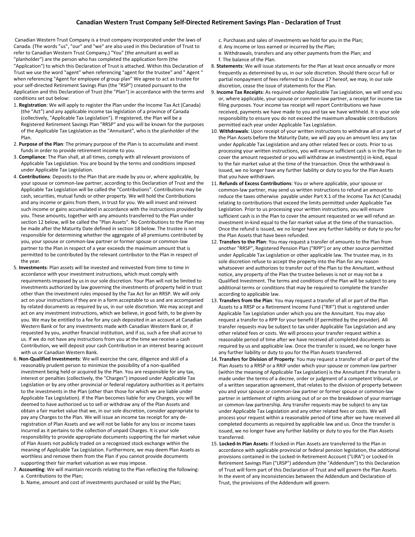Canadian Western Trust Company is a trust company incorporated under the laws of Canada. (The words "us", "our" and "we" are also used in this Declaration of Trust to refer to Canadian Western Trust Company,) "You" (the annuitant as well as "planholder") are the person who has completed the application form (the "Application") to which this Declaration of Trust is attached. Within this Declaration of Trust we use the word "agent" when referencing "agent for the trustee" and " Agent " when referencing "Agent for employee of group plan" We agree to act as trustee for your self-directed Retirement Savings Plan (the "RSP") created pursuant to the Application and this Declaration of Trust (the "Plan") in accordance with the terms and conditions set out below:

- 1. **Registration**: We will apply to register the Plan under the Income Tax Act (Canada) (the "Act") and any applicable income tax legislation of a province of Canada (collectively, "Applicable Tax Legislation"). If registered, the Plan will be a Registered Retirement Savings Plan "RRSP" and you will be known for the purposes of the Applicable Tax Legislation as the "Annuitant", who is the planholder of the Plan.
- 2. **Purpose of the Plan**: The primary purpose of the Plan is to accumulate and invest funds in order to provide retirement income to you.
- 3. **Compliance**: The Plan shall, at all times, comply with all relevant provisions of Applicable Tax Legislation. You are bound by the terms and conditions imposed under Applicable Tax Legislation.
- 4. **Contributions**: Deposits to the Plan that are made by you or, where applicable, by your spouse or common-law partner, according to this Declaration of Trust and the Applicable Tax Legislation will be called the "Contributions". Contributions may be cash, securities, mutual funds or other property. We will hold the Contributions and any income or gains from them, in trust for you. We will invest and reinvest such income or gains accumulated in accordance with the instructions provided by you. These amounts, together with any amounts transferred to the Plan under section 12 below, will be called the "Plan Assets". No Contributions to the Plan may be made after the Maturity Date defined in section 18 below. The trustee is not responsible for determining whether the aggregate of all premiums contributed by you, your spouse or common-law partner or former spouse or common-law partner to the Plan in respect of a year exceeds the maximum amount that is permitted to be contributed by the relevant contributor to the Plan in respect of the year.
- 5. **Investments**: Plan assets will be invested and reinvested from time to time in accordance with your investment instructions, which must comply with requirements imposed by us in our sole discretion. Your Plan will not be limited to investments authorized by law governing the investments of property held in trust other than the investment rules imposed by the Tax Act for an RRSP. We will only act on your instructions if they are in a form acceptable to us and are accompanied by related documents as required by us, in our sole discretion. We may accept and act on any investment instructions, which we believe, in good faith, to be given by you. We may be entitled to a fee for any cash deposited in an account at Canadian Western Bank or for any investments made with Canadian Western Bank or, if requested by you, another financial institution, and if so, such a fee shall accrue to us. If we do not have any instructions from you at the time we receive a cash Contribution, we will deposit your cash Contribution in an interest bearing account with us or Canadian Western Bank.
- 6. **Non-Qualified Investments**: We will exercise the care, diligence and skill of a reasonably prudent person to minimize the possibility of a non-qualified investment being held or acquired by the Plan. You are responsible for any tax, interest or penalties (collectively, the "Charges") imposed under Applicable Tax Legislation or by any other provincial or federal regulatory authorities as it pertains to the investments in the Plan (other than those for which we are liable under Applicable Tax Legislation). If the Plan becomes liable for any Charges, you will be deemed to have authorized us to sell or withdraw any of the Plan Assets and obtain a fair market value that we, in our sole discretion, consider appropriate to pay any Charges to the Plan. We will issue an income tax receipt for any deregistration of Plan Assets and we will not be liable for any loss or income taxes incurred as it pertains to the collection of unpaid Charges. It is your sole responsibility to provide appropriate documents supporting the fair market value of Plan Assets not publicly traded on a recognized stock exchange within the meaning of Applicable Tax Legislation. Furthermore, we may deem Plan Assets as worthless and remove them from the Plan if you cannot provide documents supporting their fair market valuation as we may impose.
- 7. **Accounting**: We will maintain records relating to the Plan reflecting the following: a. Contributions to the Plan;
	- b. Name, amount and cost of investments purchased or sold by the Plan;
- c. Purchases and sales of investments we hold for you in the Plan;
- d. Any income or loss earned or incurred by the Plan;
- e. Withdrawals, transfers and any other payments from the Plan; and f. The balance of the Plan.
- 8. **Statements**: We will issue statements for the Plan at least once annually or more frequently as determined by us, in our sole discretion. Should there occur full or partial nonpayment of fees referred to in Clause 17 hereof, we may, in our sole discretion, cease the issue of statements for the Plan.
- 9. **Income Tax Receipts**: As required under Applicable Tax Legislation, we will send you or, where applicable, your spouse or common-law partner, a receipt for income tax filing purposes. Your income tax receipt will report Contributions we have received, payments we have made to you and tax we have withheld. It is your sole responsibility to ensure you do not exceed the maximum allowable contributions permitted each year under Applicable Tax Legislation.
- 10. **Withdrawals**: Upon receipt of your written instructions to withdraw all or a part of the Plan Assets before the Maturity Date, we will pay you an amount less any tax under Applicable Tax Legislation and any other related fees or costs. Prior to us processing your written instructions, you will ensure sufficient cash is in the Plan to cover the amount requested or you will withdraw an investment(s) in-kind, equal to the fair market value at the time of the transaction. Once the withdrawal is issued, we no longer have any further liability or duty to you for the Plan Assets that you have withdrawn.
- 11. **Refunds of Excess Contributions**: You or where applicable, your spouse or common-law partner, may send us written instructions to refund an amount to reduce the taxes otherwise payable under Part X.1 of the Income Tax Act (Canada) relating to contributions that exceed the limits permitted under Applicable Tax Legislation. Prior to us processing your written instructions, you will ensure sufficient cash is in the Plan to cover the amount requested or we will refund an investment in-kind equal to the fair market value at the time of the transaction. Once the refund is issued, we no longer have any further liability or duty to you for the Plan Assets that have been refunded.
- 12. **Transfers to the Plan**: You may request a transfer of amounts to the Plan from another "RRSP", Registered Pension Plan ("RPP") or any other source permitted under Applicable Tax Legislation or other applicable law. The trustee may, in its sole discretion refuse to accept the property into the Plan for any reason whatsoever and authorizes to transfer out of the Plan to the Annuitant, without notice, any property of the Plan the trustee believes is not or may not be a Qualified Investment. The terms and conditions of the Plan will be subject to any additional terms or conditions that may be required to complete the transfer according to applicable law.
- 13. **Transfers from the Plan**: You may request a transfer of all or part of the Plan Assets to a RRSP or a Retirement Income Fund ("RIF") that is registered under Applicable Tax Legislation under which you are the Annuitant. You may also request a transfer to a RPP for your benefit (if permitted by the provider). All transfer requests may be subject to tax under Applicable Tax Legislation and any other related fees or costs. We will process your transfer request within a reasonable period of time after we have received all completed documents as required by us and applicable law. Once the transfer is issued, we no longer have any further liability or duty to you for the Plan Assets transferred.
- 14. **Transfers for Division of Property**: You may request a transfer of all or part of the Plan Assets to a RRSP or a RRIF under which your spouse or common-law partner (within the meaning of Applicable Tax Legislation) is the Annuitant if the transfer is made under the terms of a decree, order or judgment of a competent tribunal, or of a written separation agreement, that relates to the division of property between you and your spouse or common-law partner or former spouse or common-law partner in settlement of rights arising out of or on the breakdown of your marriage or common-law partnership. Any transfer requests may be subject to any tax under Applicable Tax Legislation and any other related fees or costs. We will process your request within a reasonable period of time after we have received all completed documents as required by applicable law and us. Once the transfer is issued, we no longer have any further liability or duty to you for the Plan Assets transferred.
- 15. **Locked-In Plan Assets**: If locked-in Plan Assets are transferred to the Plan in accordance with applicable provincial or federal pension legislation, the additional provisions contained in the Locked-In Retirement Account ("LIRA") or Locked-In Retirement Savings Plan ("LRSP") addendum (the "Addendum") to this Declaration of Trust will form part of this Declaration of Trust and will govern the Plan Assets. In the event of any inconsistencies between the Addendum and Declaration of Trust, the provisions of the Addendum will govern.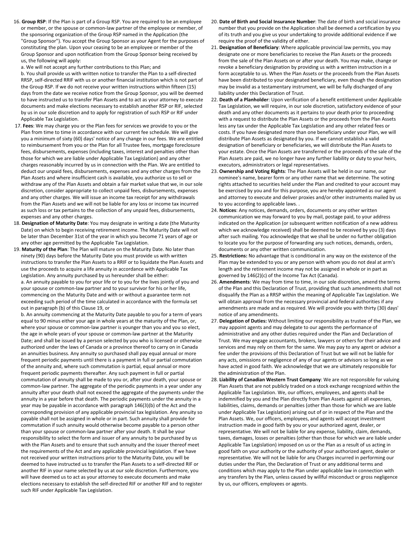16. **Group RSP**: If the Plan is part of a Group RSP. You are required to be an employee or member, or the spouse or common-law partner of the employee or member, of the sponsoring organization of the Group RSP named in the Application (the "Group Sponsor"). You accept the Group Sponsor as your Agent for the purposes of constituting the plan. Upon your ceasing to be an employee or member of the Group Sponsor and upon notification from the Group Sponsor being received by us, the following will apply:

a. We will not accept any further contributions to this Plan; and

b. You shall provide us with written notice to transfer the Plan to a self-directed RRSP, self-directed RRIF with us or another financial institution which is not part of the Group RSP. If we do not receive your written instructions within fifteen (15) days from the date we receive notice from the Group Sponsor, you will be deemed to have instructed us to transfer Plan Assets and to act as your attorney to execute documents and make elections necessary to establish another RSP or RIF, selected by us in our sole discretion and to apply for registration of such RSP or RIF under Applicable Tax Legislation.

- 17. **Fees**: We may charge you or the Plan fees for services we provide to you or the Plan from time to time in accordance with our current fee schedule. We will give you a minimum of sixty (60) days' notice of any change in our fees. We are entitled to reimbursement from you or the Plan for all Trustee fees, mortgage foreclosure fees, disbursements, expenses (including taxes, interest and penalties other than those for which we are liable under Applicable Tax Legislation) and any other charges reasonably incurred by us in connection with the Plan. We are entitled to deduct our unpaid fees, disbursements, expenses and any other charges from the Plan Assets and where insufficient cash is available, you authorize us to sell or withdraw any of the Plan Assets and obtain a fair market value that we, in our sole discretion, consider appropriate to collect unpaid fees, disbursements, expenses and any other charges. We will issue an income tax receipt for any withdrawals from the Plan Assets and we will not be liable for any loss or income tax incurred as such loss or tax pertains to the collection of any unpaid fees, disbursements, expenses and any other charges.
- 18. **Designation of Maturity Date**: You may designate in writing a date (the Maturity Date) on which to begin receiving retirement income. The Maturity Date will not be later than December 31st of the year in which you become 71 years of age or any other age permitted by the Applicable Tax Legislation.
- 19. **Maturity of the Plan**: The Plan will mature on the Maturity Date. No later than ninety (90) days before the Maturity Date you must provide us with written instructions to transfer the Plan Assets to a RRIF or to liquidate the Plan Assets and use the proceeds to acquire a life annuity in accordance with Applicable Tax Legislation. Any annuity purchased by us hereunder shall be either: a. An annuity payable to you for your life or to you for the lives jointly of you and your spouse or common-law partner and to your survivor for his or her life, commencing on the Maturity Date and with or without a guarantee term not exceeding such period of the time calculated in accordance with the formula set out in paragraph (b) of this Clause 19, or

b. An annuity commencing at the Maturity Date payable to you for a term of years equal to 90 minus either your age in whole years at the maturity of the Plan, or, where your spouse or common-law partner is younger than you and you so elect, the age in whole years of your spouse or common-law partner at the Maturity Date; and shall be issued by a person selected by you who is licensed or otherwise authorized under the laws of Canada or a province thereof to carry on in Canada an annuities business. Any annuity so purchased shall pay equal annual or more frequent periodic payments until there is a payment in full or partial commutation of the annuity and, where such commutation is partial, equal annual or more frequent periodic payments thereafter. Any such payment in full or partial commutation of annuity shall be made to you or, after your death, your spouse or common-law partner. The aggregate of the periodic payments in a year under any annuity after your death shall not exceed the aggregate of the payments under the annuity in a year before that death. The periodic payments under the annuity in a year may be payable in accordance with paragraph 146(3)(b) of the Act and the corresponding provision of any applicable provincial tax legislation. Any annuity so payable shall not be assigned in whole or in part. Such annuity shall provide for commutation if such annuity would otherwise become payable to a person other than your spouse or common-law partner after your death. It shall be your responsibility to select the form and issuer of any annuity to be purchased by us with the Plan Assets and to ensure that such annuity and the issuer thereof meet the requirements of the Act and any applicable provincial legislation. If we have not received your written instructions prior to the Maturity Date, you will be deemed to have instructed us to transfer the Plan Assets to a self-directed RIF or another RIF in your name selected by us at our sole discretion. Furthermore, you will have deemed us to act as your attorney to execute documents and make elections necessary to establish the self-directed RIF or another RIF and to register such RIF under Applicable Tax Legislation.

- 20. **Date of Birth and Social Insurance Number**: The date of birth and social insurance number that you provide on the Application shall be deemed a certification by you of its truth and you give us your undertaking to provide additional evidence if we require the proof of the validity of either.
- 21. **Designation of Beneficiary**: Where applicable provincial law permits, you may designate one or more beneficiaries to receive the Plan Assets or the proceeds from the sale of the Plan Assets on or after your death. You may make, change or revoke a beneficiary designation by providing us with a written instruction in a form acceptable to us. When the Plan Assets or the proceeds from the Plan Assets have been distributed to your designated beneficiary, even though the designation may be invalid as a testamentary instrument, we will be fully discharged of any liability under this Declaration of Trust.
- 22. **Death of a Planholder**: Upon verification of a benefit entitlement under Applicable Tax Legislation, we will require, in our sole discretion, satisfactory evidence of your death and any other documents as it pertains to your death prior to proceeding with a request to distribute the Plan Assets or the proceeds from the Plan Assets less any tax under the Applicable Tax Legislation and any other related fees or costs. If you have designated more than one beneficiary under your Plan, we will distribute Plan Assets as designated by you. If we cannot establish a valid designation of beneficiary or beneficiaries, we will distribute the Plan Assets to your estate. Once the Plan Assets are transferred or the proceeds of the sale of the Plan Assets are paid, we no longer have any further liability or duty to your heirs, executors, administrators or legal representatives.
- 23. **Ownership and Voting Rights**: The Plan Assets will be held in our name, our nominee's name, bearer form or any other name that we determine. The voting rights attached to securities held under the Plan and credited to your account may be exercised by you and for this purpose, you are hereby appointed as our agent and attorney to execute and deliver proxies and/or other instruments mailed by us to you according to applicable laws. .
- 24. **Notices**: Any notices, demands, orders, documents or any other written communication we may forward to you by mail, postage paid, to your address indicated on the Application (or subsequent written notification of a new address which we acknowledge received) shall be deemed to be received by you (3) days after such mailing. You acknowledge that we shall be under no further obligation to locate you for the purpose of forwarding any such notices, demands, orders, documents or any other written communication.
- 25. **Restrictions:** No advantage that is conditional in any way on the existence of the Plan may be extended to you or any person with whom you do not deal at arm's length and the retirement income may not be assigned in whole or in part as governed by 146(2)(c) of the Income Tax Act (Canada).
- 26. **Amendments**: We may from time to time, in our sole discretion, amend the terms of the Plan and this Declaration of Trust, providing that such amendments shall not disqualify the Plan as a RRSP within the meaning of Applicable Tax Legislation. We will obtain approval from the necessary provincial and federal authorities if any amendments are made and as required. We will provide you with thirty (30) days' notice of any amendments.
- 27. **Delegation of Duties:** Without limiting our responsibility as trustee of the Plan, we may appoint agents and may delegate to our agents the performance of administrative and any other duties required under the Plan and Declaration of Trust. We may engage accountants, brokers, lawyers or others for their advice and services and may rely on them for the same. We may pay to any agent or advisor a fee under the provisions of this Declaration of Trust but we will not be liable for any acts, omissions or negligence of any of our agents or advisors so long as we have acted in good faith. We acknowledge that we are ultimately responsible for the administration of the Plan.
- 28. **Liability of Canadian Western Trust Company**: We are not responsible for valuing Plan Assets that are not publicly traded on a stock exchange recognized within the Applicable Tax Legislation. We, our officers, employees, and agents shall be indemnified by you and the Plan directly from Plan Assets against all expenses, liabilities, claims, demands or penalties (other than those for which we are liable under Applicable Tax Legislation) arising out of or in respect of the Plan and the Plan Assets. We, our officers, employees, and agents will accept investment instruction made in good faith by you or your authorized agent, dealer, or representative. We will not be liable for any expense, liability, claim, demands, taxes, damages, losses or penalties (other than those for which we are liable under Applicable Tax Legislation) imposed on us or the Plan as a result of us acting in good faith on your authority or the authority of your authorized agent, dealer or representative. We will not be liable for any Charges incurred in performing our duties under the Plan, the Declaration of Trust or any additional terms and conditions which may apply to the Plan under applicable law in connection with any transfers by the Plan, unless caused by willful misconduct or gross negligence by us, our officers, employees or agents.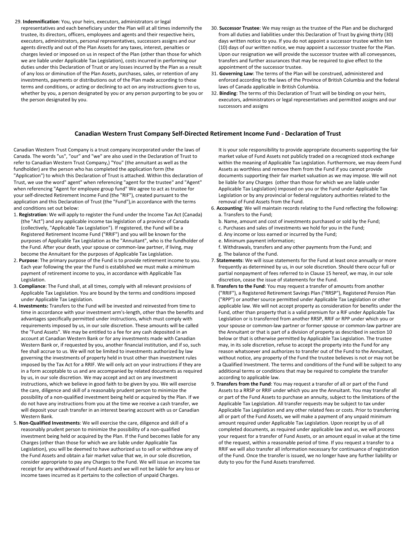- 29. **Indemnification**: You, your heirs, executors, administrators or legal
- representatives and each beneficiary under the Plan will at all times indemnify the trustee, its directors, officers, employees and agents and their respective heirs, executors, administrators, personal representatives, successors assigns and our agents directly and out of the Plan Assets for any taxes, interest, penalties or charges levied or imposed on us in respect of the Plan (other than those for which we are liable under Applicable Tax Legislation), costs incurred in performing our duties under this Declaration of Trust or any losses incurred by the Plan as a result of any loss or diminution of the Plan Assets, purchases, sales, or retention of any investments, payments or distributions out of the Plan made according to these terms and conditions, or acting or declining to act on any instructions given to us, whether by you, a person designated by you or any person purporting to be you or the person designated by you.
- 30. **Successor Trustee**: We may resign as the trustee of the Plan and be discharged from all duties and liabilities under this Declaration of Trust by giving thirty (30) days written notice to you. If you do not appoint a successor trustee within ten (10) days of our written notice, we may appoint a successor trustee for the Plan. Upon our resignation we will provide the successor trustee with all conveyances, transfers and further assurances that may be required to give effect to the appointment of the successor trustee.
- 31. **Governing Law**: The terms of the Plan will be construed, administered and enforced according to the laws of the Province of British Columbia and the federal laws of Canada applicable in British Columbia.
- 32. **Binding**: The terms of this Declaration of Trust will be binding on your heirs, executors, administrators or legal representatives and permitted assigns and our successors and assigns

#### **Canadian Western Trust Company Self-Directed Retirement Income Fund - Declaration of Trust**

Canadian Western Trust Company is a trust company incorporated under the laws of Canada. The words "us", "our" and "we" are also used in the Declaration of Trust to refer to Canadian Western Trust Company,) "You" (the annuitant as well as the fundholder) are the person who has completed the application form (the "Application") to which this Declaration of Trust is attached. Within this declaration of Trust, we use the word" agent" when referencing "agent for the trustee" and "Agent" when referencing "Agent for employee group fund" We agree to act as trustee for your self-directed Retirement Income Fund (the "RIF"), created pursuant to the application and this Declaration of Trust (the "Fund"),in accordance with the terms and conditions set out below:

- 1. **Registration**: We will apply to register the Fund under the Income Tax Act (Canada) (the "Act") and any applicable income tax legislation of a province of Canada (collectively, "Applicable Tax Legislation"). If registered, the Fund will be a Registered Retirement Income Fund ("RRIF") and you will be known for the purposes of Applicable Tax Legislation as the "Annuitant", who is the fundholder of the Fund. After your death, your spouse or common-law partner, if living, may become the Annuitant for the purposes of Applicable Tax Legislation.
- 2. **Purpose**: The primary purpose of the Fund is to provide retirement income to you. Each year following the year the Fund is established we must make a minimum payment of retirement income to you, in accordance with Applicable Tax Legislation.
- 3. **Compliance**: The Fund shall, at all times, comply with all relevant provisions of Applicable Tax Legislation. You are bound by the terms and conditions imposed under Applicable Tax Legislation.
- 4. **Investments:** Transfers to the Fund will be invested and reinvested from time to time in accordance with your investment arm's-length, other than the benefits and advantages specifically permitted under instructions, which must comply with requirements imposed by us, in our sole discretion. These amounts will be called the "Fund Assets". We may be entitled to a fee for any cash deposited in an account at Canadian Western Bank or for any investments made with Canadian Western Bank or, if requested by you, another financial institution, and if so, such fee shall accrue to us. We will not be limited to investments authorized by law governing the investments of property held in trust other than investment rules imposed by the Tax Act for a RRIF. We will only act on your instructions if they are in a form acceptable to us and are accompanied by related documents as required by us, in our sole discretion. We may accept and act on any investment instructions, which we believe in good faith to be given by you. We will exercise the care, diligence and skill of a reasonably prudent person to minimize the possibility of a non-qualified investment being held or acquired by the Plan. If we do not have any instructions from you at the time we receive a cash transfer, we will deposit your cash transfer in an interest bearing account with us or Canadian Western Bank.
- 5. **Non-Qualified Investments**: We will exercise the care, diligence and skill of a reasonably prudent person to minimize the possibility of a non-qualified investment being held or acquired by the Plan. If the Fund becomes liable for any Charges (other than those for which we are liable under Applicable Tax Legislation), you will be deemed to have authorized us to sell or withdraw any of the Fund Assets and obtain a fair market value that we, in our sole discretion, consider appropriate to pay any Charges to the Fund. We will issue an income tax receipt for any withdrawal of Fund Assets and we will not be liable for any loss or income taxes incurred as it pertains to the collection of unpaid Charges.

 It is your sole responsibility to provide appropriate documents supporting the fair market value of Fund Assets not publicly traded on a recognized stock exchange within the meaning of Applicable Tax Legislation. Furthermore, we may deem Fund Assets as worthless and remove them from the Fund if you cannot provide documents supporting their fair market valuation as we may impose. We will not be liable for any Charges (other than those for which we are liable under Applicable Tax Legislation) imposed on you or the Fund under Applicable Tax Legislation or by any provincial or federal regulatory authorities related to the removal of Fund Assets from the Fund.

- 6. **Accounting**: We will maintain records relating to the Fund reflecting the following: a. Transfers to the Fund;
	- b. Name, amount and cost of investments purchased or sold by the Fund;
	- c. Purchases and sales of investments we hold for you in the Fund;
	- d. Any income or loss earned or incurred by the Fund;
	- e. Minimum payment information;

f. Withdrawals, transfers and any other payments from the Fund; and g. The balance of the Fund.

- 7. **Statements**: We will issue statements for the Fund at least once annually or more frequently as determined by us, in our sole discretion. Should there occur full or partial nonpayment of fees referred to in Clause 15 hereof, we may, in our sole discretion, cease the issue of statements for the Fund.
- 8. **Transfers to the Fund**: You may request a transfer of amounts from another ("RRIF"), a Registered Retirement Savings Plan ("RRSP"), Registered Pension Plan ("RPP") or another source permitted under Applicable Tax Legislation or other applicable law. We will not accept property as consideration for benefits under the Fund, other than property that is a valid premium for a RIF under Applicable Tax Legislation or is transferred from another RRSP, RRIF or RPP under which you or your spouse or common-law partner or former spouse or common-law partner are the Annuitant or that is part of a division of property as described in section 10 below or that is otherwise permitted by Applicable Tax Legislation. The trustee may, in its sole discretion, refuse to accept the property into the Fund for any reason whatsoever and authorizes to transfer out of the Fund to the Annuitant, without notice, any property of the Fund the trustee believes is not or may not be a Qualified Investment. The terms and conditions of the Fund will be subject to any additional terms or conditions that may be required to complete the transfer according to applicable law.
- 9. **Transfers from the Fund**: You may request a transfer of all or part of the Fund Assets to a RRSP or RRIF under which you are the Annuitant. You may transfer all or part of the Fund Assets to purchase an annuity, subject to the limitations of the Applicable Tax Legislation. All transfer requests may be subject to tax under Applicable Tax Legislation and any other related fees or costs. Prior to transferring all or part of the Fund Assets, we will make a payment of any unpaid minimum amount required under Applicable Tax Legislation. Upon receipt by us of all completed documents, as required under applicable law and us, we will process your request for a transfer of Fund Assets, or an amount equal in value at the time of the request, within a reasonable period of time. If you request a transfer to a RRIF we will also transfer all information necessary for continuance of registration of the Fund. Once the transfer is issued, we no longer have any further liability or duty to you for the Fund Assets transferred.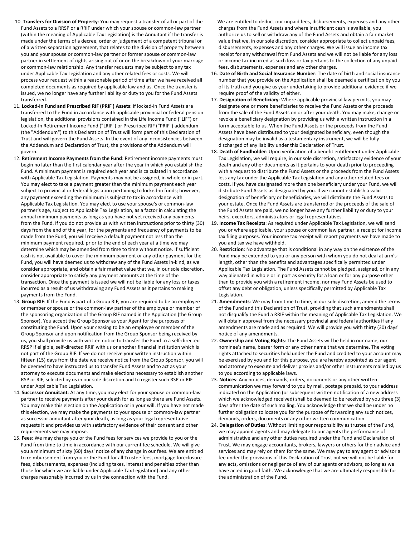- 10. **Transfers for Division of Property**: You may request a transfer of all or part of the Fund Assets to a RRSP or a RRIF under which your spouse or common-law partner (within the meaning of Applicable Tax Legislation) is the Annuitant if the transfer is made under the terms of a decree, order or judgement of a competent tribunal or of a written separation agreement, that relates to the division of property between you and your spouse or common-law partner or former spouse or common-law partner in settlement of rights arising out of or on the breakdown of your marriage or common-law relationship. Any transfer requests may be subject to any tax under Applicable Tax Legislation and any other related fees or costs. We will process your request within a reasonable period of time after we have received all completed documents as required by applicable law and us. Once the transfer is issued, we no longer have any further liability or duty to you for the Fund Assets transferred.
- 11. **Locked-In Fund and Prescribed RIF (PRIF ) Assets**: If locked-in Fund Assets are transferred to the Fund in accordance with applicable provincial or federal pension legislation, the additional provisions contained in the Life Income Fund ("LIF") or Locked-In Retirement Income Fund ("LRIF") or Prescribed RIF ("PRIF") addendum (the "Addendum") to this Declaration of Trust will form part of this Declaration of Trust and will govern the Fund Assets. In the event of any inconsistencies between the Addendum and Declaration of Trust, the provisions of the Addendum will govern.
- 12. **Retirement Income Payments from the Fund**: Retirement income payments must begin no later than the first calendar year after the year in which you establish the Fund. A minimum payment is required each year and is calculated in accordance with Applicable Tax Legislation. Payments may not be assigned, in whole or in part. You may elect to take a payment greater than the minimum payment each year subject to provincial or federal legislation pertaining to locked-in funds; however, any payment exceeding the minimum is subject to tax in accordance with Applicable Tax Legislation. You may elect to use your spouse's or common-law partner's age, subject to Applicable Tax Legislation, as a factor in calculating the annual minimum payments as long as you have not yet received any payments from the Fund. If you do not provide us with written instructions prior to thirty (30) days from the end of the year, for the payments and frequency of payments to be made from the Fund, you will receive a default payment not less than the minimum payment required, prior to the end of each year at a time we may determine which may be amended from time to time without notice. If sufficient cash is not available to cover the minimum payment or any other payment for the Fund, you will have deemed us to withdraw any of the Fund Assets in-kind, as we consider appropriate, and obtain a fair market value that we, in our sole discretion, consider appropriate to satisfy any payment amounts at the time of the transaction. Once the payment is issued we will not be liable for any loss or taxes incurred as a result of us withdrawing any Fund Assets as it pertains to making payments from the Fund.
- 13. **Group RIF**: If the Fund is part of a Group RIF, you are required to be an employee or member or spouse or the common-law partner of the employee or member of the sponsoring organization of the Group RIF named in the Application (the Group Sponsor). You accept the Group Sponsor as your Agent for the purposes of constituting the Fund. Upon your ceasing to be an employee or member of the Group Sponsor and upon notification from the Group Sponsor being received by us, you shall provide us with written notice to transfer the Fund to a self-directed RRSP if eligible, self-directed RRIF with us or another financial institution which is not part of the Group RIF. If we do not receive your written instruction within fifteen (15) days from the date we receive notice from the Group Sponsor, you will be deemed to have instructed us to transfer Fund Assets and to act as your attorney to execute documents and make elections necessary to establish another RSP or RIF, selected by us in our sole discretion and to register such RSP or RIF under Applicable Tax Legislation.
- 14. **Successor Annuitant**: At any time, you may elect for your spouse or common-law partner to receive payments after your death for as long as there are Fund Assets. You may make this election on the Application or in your will. If you have not made this election, we may make the payments to your spouse or common-law partner as successor annuitant after your death, as long as your legal representative requests it and provides us with satisfactory evidence of their consent and other requirements we may impose.
- 15. **Fees**: We may charge you or the Fund fees for services we provide to you or the Fund from time to time in accordance with our current fee schedule. We will give you a minimum of sixty (60) days' notice of any change in our fees. We are entitled to reimbursement from you or the Fund for all Trustee fees, mortgage foreclosure fees, disbursements, expenses (including taxes, interest and penalties other than those for which we are liable under Applicable Tax Legislation) and any other charges reasonably incurred by us in the connection with the Fund.

 We are entitled to deduct our unpaid fees, disbursements, expenses and any other charges from the Fund Assets and where insufficient cash is available, you authorize us to sell or withdraw any of the Fund Assets and obtain a fair market value that we, in our sole discretion, consider appropriate to collect unpaid fees, disbursements, expenses and any other charges. We will issue an income tax receipt for any withdrawal from Fund Assets and we will not be liable for any loss or income tax incurred as such loss or tax pertains to the collection of any unpaid fees, disbursements, expenses and any other charges.

- 16. **Date of Birth and Social Insurance Number**: The date of birth and social insurance number that you provide on the Application shall be deemed a certification by you of its truth and you give us your undertaking to provide additional evidence if we require proof of the validity of either.
- 17. **Designation of Beneficiary**: Where applicable provincial law permits, you may designate one or more beneficiaries to receive the Fund Assets or the proceeds from the sale of the Fund Assets on or after your death. You may make, change or revoke a beneficiary designation by providing us with a written instruction in a form acceptable to us. When the Fund Assets or the proceeds from the Fund Assets have been distributed to your designated beneficiary, even though the designation may be invalid as a testamentary instrument, we will be fully discharged of any liability under this Declaration of Trust.
- 18. **Death of Fundholder**: Upon verification of a benefit entitlement under Applicable Tax Legislation, we will require, in our sole discretion, satisfactory evidence of your death and any other documents as it pertains to your death prior to proceeding with a request to distribute the Fund Assets or the proceeds from the Fund Assets less any tax under the Applicable Tax Legislation and any other related fees or costs. If you have designated more than one beneficiary under your Fund, we will distribute Fund Assets as designated by you. If we cannot establish a valid designation of beneficiary or beneficiaries, we will distribute the Fund Assets to your estate. Once the Fund Assets are transferred or the proceeds of the sale of the Fund Assets are paid, we no longer have any further liability or duty to your heirs, executors, administrators or legal representatives.
- 19. **Income Tax Receipts**: As required under Applicable Tax Legislation, we will send you or where applicable, your spouse or common law partner, a receipt for income tax filing purposes. Your income tax receipt will report payments we have made to you and tax we have withheld.
- 20. **Restriction**: No advantage that is conditional in any way on the existence of the Fund may be extended to you or any person with whom you do not deal at arm'slength, other than the benefits and advantages specifically permitted under Applicable Tax Legislation. The Fund Assets cannot be pledged, assigned, or in any way alienated in whole or in part as security for a loan or for any purpose other than to provide you with a retirement income, nor may Fund Assets be used to offset any debt or obligation, unless specifically permitted by Applicable Tax Legislation.
- 21. **Amendments**: We may from time to time, in our sole discretion, amend the terms of the Fund and this Declaration of Trust, providing that such amendments shall not disqualify the Fund a RRIF within the meaning of Applicable Tax Legislation. We will obtain approval from the necessary provincial and federal authorities if any amendments are made and as required. We will provide you with thirty (30) days' notice of any amendments.
- 22. **Ownership and Voting Rights**: The Fund Assets will be held in our name, our nominee's name, bearer form or any other name that we determine. The voting rights attached to securities held under the Fund and credited to your account may be exercised by you and for this purpose, you are hereby appointed as our agent and attorney to execute and deliver proxies and/or other instruments mailed by us to you according to applicable laws.
- 23. **Notices**: Any notices, demands, orders, documents or any other written communication we may forward to you by mail, postage prepaid, to your address indicated on the Application (or subsequent written notification of a new address which we acknowledged received) shall be deemed to be received by you three (3) days after the date of such mailing. You acknowledge that we shall be under no further obligation to locate you for the purpose of forwarding any such notices, demands, orders, documents or any other written communication.
- 24. **Delegation of Duties**: Without limiting our responsibility as trustee of the Fund, we may appoint agents and may delegate to our agents the performance of administrative and any other duties required under the Fund and Declaration of Trust. We may engage accountants, brokers, lawyers or others for their advice and services and may rely on them for the same. We may pay to any agent or advisor a fee under the provisions of this Declaration of Trust but we will not be liable for any acts, omissions or negligence of any of our agents or advisors, so long as we have acted in good faith. We acknowledge that we are ultimately responsible for the administration of the Fund.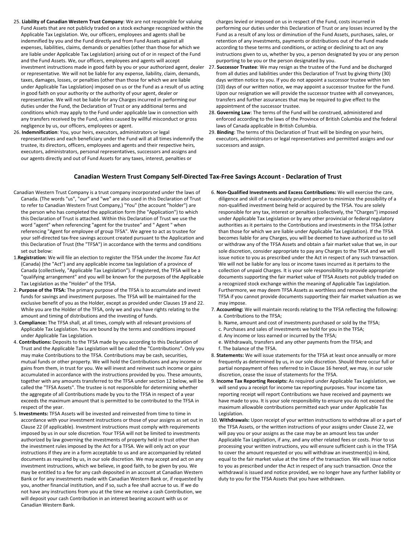- 25. **Liability of Canadian Western Trust Company**: We are not responsible for valuing Fund Assets that are not publicly traded on a stock exchange recognized within the Applicable Tax Legislation. We, our officers, employees and agents shall be indemnified by you and the Fund directly and from Fund Assets against all expenses, liabilities, claims, demands or penalties (other than those for which we are liable under Applicable Tax Legislation) arising out of or in respect of the Fund and the Fund Assets. We, our officers, employees and agents will accept or representative. We will not be liable for any expense, liability, claim, demands, taxes, damages, losses, or penalties (other than those for which we are liable under Applicable Tax Legislation) imposed on us or the Fund as a result of us acting in good faith on your authority or the authority of your agent, dealer or representative. We will not be liable for any Charges incurred in performing our duties under the Fund, the Declaration of Trust or any additional terms and conditions which may apply to the Fund under applicable law in connection with any transfers received by the Fund, unless caused by willful misconduct or gross negligence by us, our officers, employees or agent.
- 26. **Indemnification**: You, your heirs, executors, administrators or legal representatives and each beneficiary under the Fund will at all times indemnify the trustee, its directors, officers, employees and agents and their respective heirs, executors, administrators, personal representatives, successors and assigns and our agents directly and out of Fund Assets for any taxes, interest, penalties or

 charges levied or imposed on us in respect of the Fund, costs incurred in performing our duties under this Declaration of Trust or any losses incurred by the Fund as a result of any loss or diminution of the Fund Assets, purchases, sales, or retention of any investments, payments or distributions out of the Fund made according to these terms and conditions, or acting or declining to act on any instructions given to us, whether by you, a person designated by you or any person purporting to be you or the person designated by you.

- investment instructions made in good faith by you or your authorized agent, dealer 27. **Successor Trustee**: We may resign as the trustee of the Fund and be discharged from all duties and liabilities under this Declaration of Trust by giving thirty (30) days written notice to you. If you do not appoint a successor trustee within ten (10) days of our written notice, we may appoint a successor trustee for the Fund. Upon our resignation we will provide the successor trustee with all conveyances, transfers and further assurances that may be required to give effect to the appointment of the successor trustee.
	- 28. **Governing Law**: The terms of the Fund will be construed, administered and enforced according to the laws of the Province of British Columbia and the federal laws of Canada applicable in British Columbia.
	- 29. **Binding**: The terms of this Declaration of Trust will be binding on your heirs, executors, administrators or legal representatives and permitted assigns and our successors and assign.

#### **Canadian Western Trust Company Self-Directed Tax-Free Savings Account - Declaration of Trust**

- Canadian Western Trust Company is a trust company incorporated under the laws of Canada. (The words "us", "our" and "we" are also used in this Declaration of Trust to refer to Canadian Western Trust Company,) "You" (the account "holder") are the person who has completed the application form (the "Application") to which this Declaration of Trust is attached. Within this Declaration of Trust we use the word "agent" when referencing "agent for the trustee" and " Agent " when referencing "Agent for employee of group TFSA". We agree to act as trustee for your self-directed tax-free savings account created pursuant to the Application and this Declaration of Trust (the "TFSA") in accordance with the terms and conditions set out below:
- 1.**Registration:** We will file an election to register the TFSA under the *Income Tax Act*  (Canada) (the "Act") and any applicable income tax legislation of a province of Canada (collectively, "Applicable Tax Legislation"). If registered, the TFSA will be a "qualifying arrangement" and you will be known for the purposes of the Applicable Tax Legislation as the "Holder" of the TFSA.
- 2. **Purpose of the TFSA:** The primary purpose of the TFSA is to accumulate and invest funds for savings and investment purposes. The TFSA will be maintained for the exclusive benefit of you as the Holder, except as provided under Clauses 19 and 22. While you are the Holder of the TFSA, only we and you have rights relating to the amount and timing of distributions and the investing of funds.
- 3. **Compliance:** The TFSA shall, at all times, comply with all relevant provisions of Applicable Tax Legislation. You are bound by the terms and conditions imposed under Applicable Tax Legislation.
- 4. **Contributions:** Deposits to the TFSA made by you according to this Declaration of Trust and the Applicable Tax Legislation will be called the "Contributions". Only you may make Contributions to the TFSA. Contributions may be cash, securities, mutual funds or other property. We will hold the Contributions and any income or gains from them, in trust for you. We will invest and reinvest such income or gains accumulated in accordance with the instructions provided by you. These amounts, together with any amounts transferred to the TFSA under section 12 below, will be called the "TFSA Assets". The trustee is not responsible for determining whether the aggregate of all Contributions made by you to the TFSA in respect of a year exceeds the maximum amount that is permitted to be contributed to the TFSA in respect of the year.
- 5. **Investments:** TFSA Assets will be invested and reinvested from time to time in accordance with your investment instructions or those of your assigns as set out in Clause 22 (if applicable). Investment instructions must comply with requirements imposed by us in our sole discretion. Your TFSA will not be limited to investments authorized by law governing the investments of property held in trust other than the investment rules imposed by the Act for a TFSA. We will only act on your instructions if they are in a form acceptable to us and are accompanied by related documents as required by us, in our sole discretion. We may accept and act on any investment instructions, which we believe, in good faith, to be given by you. We may be entitled to a fee for any cash deposited in an account at Canadian Western Bank or for any investments made with Canadian Western Bank or, if requested by you, another financial institution, and if so, such a fee shall accrue to us. If we do not have any instructions from you at the time we receive a cash Contribution, we will deposit your cash Contribution in an interest bearing account with us or Canadian Western Bank.
- 6. **Non-Qualified Investments and Excess Contributions:** We will exercise the care, diligence and skill of a reasonably prudent person to minimize the possibility of a non-qualified investment being held or acquired by the TFSA. You are solely responsible for any tax, interest or penalties (collectively, the "Charges") imposed under Applicable Tax Legislation or by any other provincial or federal regulatory authorities as it pertains to the Contributions and investments in the TFSA (other than those for which we are liable under Applicable Tax Legislation). If the TFSA becomes liable for any Charges, you will be deemed to have authorized us to sell or withdraw any of the TFSA Assets and obtain a fair market value that we, in our sole discretion, consider appropriate to pay any Charges to the TFSA and we will issue notice to you as prescribed under the Act in respect of any such transaction. We will not be liable for any loss or income taxes incurred as it pertains to the collection of unpaid Charges. It is your sole responsibility to provide appropriate documents supporting the fair market value of TFSA Assets not publicly traded on a recognized stock exchange within the meaning of Applicable Tax Legislation. Furthermore, we may deem TFSA Assets as worthless and remove them from the TFSA if you cannot provide documents supporting their fair market valuation as we may impose.
- 7. **Accounting:** We will maintain records relating to the TFSA reflecting the following: a. Contributions to the TFSA;
	- b. Name, amount and cost of investments purchased or sold by the TFSA;
	- c. Purchases and sales of investments we hold for you in the TFSA;
	- d. Any income or loss earned or incurred by the TFSA;
	- e. Withdrawals, transfers and any other payments from the TFSA; and f. The balance of the TFSA.
- 8. **Statements:** We will issue statements for the TFSA at least once annually or more frequently as determined by us, in our sole discretion. Should there occur full or partial nonpayment of fees referred to in Clause 16 hereof, we may, in our sole discretion, cease the issue of statements for the TFSA.
- 9. **Income Tax Reporting Receipts:** As required under Applicable Tax Legislation, we will send you a receipt for income tax reporting purposes. Your income tax reporting receipt will report Contributions we have received and payments we have made to you. It is your sole responsibility to ensure you do not exceed the maximum allowable contributions permitted each year under Applicable Tax Legislation.
- 10. **Withdrawals:** Upon receipt of your written instructions to withdraw all or a part of the TFSA Assets, or the written instructions of your assigns under Clause 22, we will pay you or your assigns as the case may be an amount less tax under Applicable Tax Legislation, if any, and any other related fees or costs. Prior to us processing your written instructions, you will ensure sufficient cash is in the TFSA to cover the amount requested or you will withdraw an investment(s) in-kind, equal to the fair market value at the time of the transaction. We will issue notice to you as prescribed under the Act in respect of any such transaction. Once the withdrawal is issued and notice provided, we no longer have any further liability or duty to you for the TFSA Assets that you have withdrawn.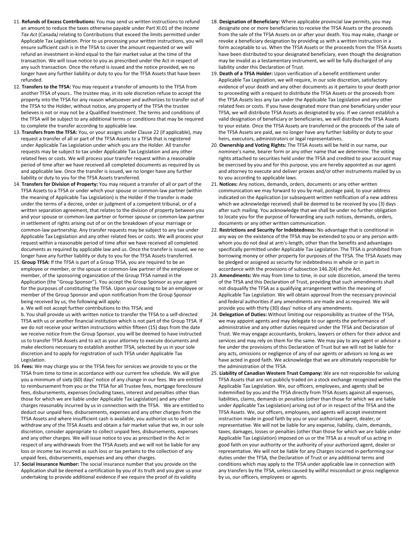- 11. **Refunds of Excess Contributions:** You may send us written instructions to refund an amount to reduce the taxes otherwise payable under Part XI.01 of the *Income Tax Act* (Canada*)* relating to Contributions that exceed the limits permitted under Applicable Tax Legislation. Prior to us processing your written instructions, you will ensure sufficient cash is in the TFSA to cover the amount requested or we will refund an investment in-kind equal to the fair market value at the time of the transaction. We will issue notice to you as prescribed under the Act in respect of any such transaction. Once the refund is issued and the notice provided, we no longer have any further liability or duty to you for the TFSA Assets that have been refunded.
- 12. **Transfers to the TFSA:** You may request a transfer of amounts to the TFSA from another TFSA of yours.. The trustee may, in its sole discretion refuse to accept the property into the TFSA for any reason whatsoever and authorizes to transfer out of the TFSA to the Holder, without notice, any property of the TFSA the trustee believes is not or may not be a Qualified Investment. The terms and conditions of the TFSA will be subject to any additional terms or conditions that may be required to complete the transfer according to applicable law.
- 13. **Transfers from the TFSA:** You, or your assigns under Clause 22 (if applicable), may request a transfer of all or part of the TFSA Assets to a TFSA that is registered under Applicable Tax Legislation under which you are the Holder. All transfer requests may be subject to tax under Applicable Tax Legislation and any other related fees or costs. We will process your transfer request within a reasonable period of time after we have received all completed documents as required by us and applicable law. Once the transfer is issued, we no longer have any further liability or duty to you for the TFSA Assets transferred.
- 14. **Transfers for Division of Property:** You may request a transfer of all or part of the TFSA Assets to a TFSA or under which your spouse or common-law partner (within the meaning of Applicable Tax Legislation) is the Holder if the transfer is made under the terms of a decree, order or judgment of a competent tribunal, or of a written separation agreement, that relates to the division of property between you and your spouse or common-law partner or former spouse or common-law partner in settlement of rights arising out of or on the breakdown of your marriage or common-law partnership. Any transfer requests may be subject to any tax under Applicable Tax Legislation and any other related fees or costs. We will process your request within a reasonable period of time after we have received all completed documents as required by applicable law and us. Once the transfer is issued, we no longer have any further liability or duty to you for the TFSA Assets transferred.
- 15. **Group TFSA:** If the TFSA is part of a Group TFSA, you are required to be an employee or member, or the spouse or common-law partner of the employee or member, of the sponsoring organization of the Group TFSA named in the Application (the "Group Sponsor"). You accept the Group Sponsor as your agent for the purposes of constituting the TFSA. Upon your ceasing to be an employee or member of the Group Sponsor and upon notification from the Group Sponsor being received by us, the following will apply:

a. We will not accept further contributions to this TFSA; and

b. You shall provide us with written notice to transfer the TFSA to a self-directed TFSA with us or another financial institution which is not part of the Group TFSA. If we do not receive your written instructions within fifteen (15) days from the date we receive notice from the Group Sponsor, you will be deemed to have instructed us to transfer TFSA Assets and to act as your attorney to execute documents and make elections necessary to establish another TFSA, selected by us in your sole discretion and to apply for registration of such TFSA under Applicable Tax Legislation.

- 16. **Fees:** We may charge you or the TFSA fees for services we provide to you or the TFSA from time to time in accordance with our current fee schedule. We will give you a minimum of sixty (60) days' notice of any change in our fees. We are entitled to reimbursement from you or the TFSA for all Trustee fees, mortgage foreclosure fees, disbursements, expenses (including taxes, interest and penalties other than those for which we are liable under Applicable Tax Legislation) and any other charges reasonably incurred by us in connection with the TFSA. We are entitled to deduct our unpaid fees, disbursements, expenses and any other charges from the TFSA Assets and where insufficient cash is available, you authorize us to sell or withdraw any of the TFSA Assets and obtain a fair market value that we, in our sole discretion, consider appropriate to collect unpaid fees, disbursements, expenses and any other charges. We will issue notice to you as prescribed in the Act in respect of any withdrawals from the TFSA Assets and we will not be liable for any loss or income tax incurred as such loss or tax pertains to the collection of any unpaid fees, disbursements, expenses and any other charges.
- 17. **Social Insurance Number:** The social insurance number that you provide on the Application shall be deemed a certification by you of its truth and you give us your undertaking to provide additional evidence if we require the proof of its validity
- 18. **Designation of Beneficiary:** Where applicable provincial law permits, you may designate one or more beneficiaries to receive the TFSA Assets or the proceeds from the sale of the TFSA Assets on or after your death. You may make, change or revoke a beneficiary designation by providing us with a written instruction in a form acceptable to us. When the TFSA Assets or the proceeds from the TFSA Assets have been distributed to your designated beneficiary, even though the designation may be invalid as a testamentary instrument, we will be fully discharged of any liability under this Declaration of Trust.
- 19. **Death of a TFSA Holder:** Upon verification of a benefit entitlement under Applicable Tax Legislation, we will require, in our sole discretion, satisfactory evidence of your death and any other documents as it pertains to your death prior to proceeding with a request to distribute the TFSA Assets or the proceeds from the TFSA Assets less any tax under the Applicable Tax Legislation and any other related fees or costs. If you have designated more than one beneficiary under your TFSA, we will distribute TFSA Assets as designated by you. If we cannot establish a valid designation of beneficiary or beneficiaries, we will distribute the TFSA Assets to your estate. Once the TFSA Assets are transferred or the proceeds of the sale of the TFSA Assets are paid, we no longer have any further liability or duty to your heirs, executors, administrators or legal representatives.
- 20. **Ownership and Voting Rights:** The TFSA Assets will be held in our name, our nominee's name, bearer form or any other name that we determine. The voting rights attached to securities held under the TFSA and credited to your account may be exercised by you and for this purpose, you are hereby appointed as our agent and attorney to execute and deliver proxies and/or other instruments mailed by us to you according to applicable laws.
- 21. **Notices:** Any notices, demands, orders, documents or any other written communication we may forward to you by mail, postage paid, to your address indicated on the Application (or subsequent written notification of a new address which we acknowledge received) shall be deemed to be received by you (3) days after such mailing. You acknowledge that we shall be under no further obligation to locate you for the purpose of forwarding any such notices, demands, orders, documents or any other written communication.
- 22. **Restrictions and Security for Indebtedness:** No advantage that is conditional in any way on the existence of the TFSA may be extended to you or any person with whom you do not deal at arm's-length, other than the benefits and advantages specifically permitted under Applicable Tax Legislation. The TFSA is prohibited from borrowing money or other property for purposes of the TFSA. The TFSA Assets may be pledged or assigned as security for indebtedness in whole or in part in accordance with the provisions of subsection 146.2(4) of the Act.
- 23. **Amendments:** We may from time to time, in our sole discretion, amend the terms of the TFSA and this Declaration of Trust, providing that such amendments shall not disqualify the TFSA as a qualifying arrangement within the meaning of Applicable Tax Legislation. We will obtain approval from the necessary provincial and federal authorities if any amendments are made and as required. We will provide you with thirty (30) days' notice of any amendments.
- 24. **Delegation of Duties:** Without limiting our responsibility as trustee of the TFSA, we may appoint agents and may delegate to our agents the performance of administrative and any other duties required under the TFSA and Declaration of Trust. We may engage accountants, brokers, lawyers or others for their advice and services and may rely on them for the same. We may pay to any agent or advisor a fee under the provisions of this Declaration of Trust but we will not be liable for any acts, omissions or negligence of any of our agents or advisors so long as we have acted in good faith. We acknowledge that we are ultimately responsible for the administration of the TFSA.
- 25. **Liability of Canadian Western Trust Company:** We are not responsible for valuing TFSA Assets that are not publicly traded on a stock exchange recognized within the Applicable Tax Legislation. We, our officers, employees, and agents shall be indemnified by you and the TFSA directly from TFSA Assets against all expenses, liabilities, claims, demands or penalties (other than those for which we are liable under Applicable Tax Legislation) arising out of or in respect of the TFSA and the TFSA Assets. We, our officers, employees, and agents will accept investment instruction made in good faith by you or your authorized agent, dealer, or representative. We will not be liable for any expense, liability, claim, demands, taxes, damages, losses or penalties (other than those for which we are liable under Applicable Tax Legislation) imposed on us or the TFSA as a result of us acting in good faith on your authority or the authority of your authorized agent, dealer or representative. We will not be liable for any Charges incurred in performing our duties under the TFSA, the Declaration of Trust or any additional terms and conditions which may apply to the TFSA under applicable law in connection with any transfers by the TFSA, unless caused by willful misconduct or gross negligence by us, our officers, employees or agents.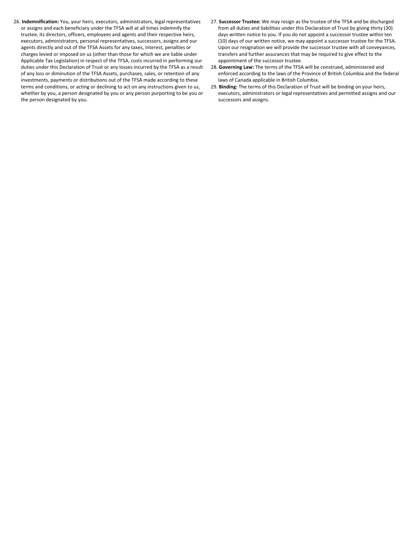- 26. **Indemnification:** You, your heirs, executors, administrators, legal representatives or assigns and each beneficiary under the TFSA will at all times indemnify the trustee, its directors, officers, employees and agents and their respective heirs, executors, administrators, personal representatives, successors, assigns and our agents directly and out of the TFSA Assets for any taxes, interest, penalties or charges levied or imposed on us (other than those for which we are liable under Applicable Tax Legislation) in respect of the TFSA, costs incurred in performing our duties under this Declaration of Trust or any losses incurred by the TFSA as a result of any loss or diminution of the TFSA Assets, purchases, sales, or retention of any investments, payments or distributions out of the TFSA made according to these terms and conditions, or acting or declining to act on any instructions given to us, whether by you, a person designated by you or any person purporting to be you or the person designated by you.
- 27. **Successor Trustee:** We may resign as the trustee of the TFSA and be discharged from all duties and liabilities under this Declaration of Trust by giving thirty (30) days written notice to you. If you do not appoint a successor trustee within ten (10) days of our written notice, we may appoint a successor trustee for the TFSA. Upon our resignation we will provide the successor trustee with all conveyances, transfers and further assurances that may be required to give effect to the appointment of the successor trustee.
- 28. **Governing Law:** The terms of the TFSA will be construed, administered and enforced according to the laws of the Province of British Columbia and the federal laws of Canada applicable in British Columbia.
- 29. **Binding:** The terms of this Declaration of Trust will be binding on your heirs, executors, administrators or legal representatives and permitted assigns and our successors and assigns.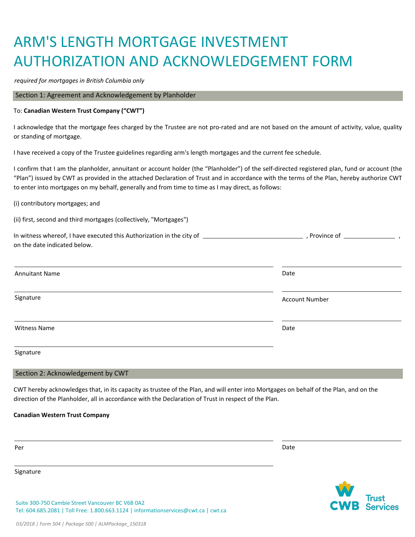# ARM'S LENGTH MORTGAGE INVESTMENT AUTHORIZATION AND ACKNOWLEDGEMENT FORM

*required for mortgages in British Columbia only*

Section 1: Agreement and Acknowledgement by Planholder

#### To: **Canadian Western Trust Company ("CWT")**

I acknowledge that the mortgage fees charged by the Trustee are not pro-rated and are not based on the amount of activity, value, quality or standing of mortgage.

I have received a copy of the Trustee guidelines regarding arm's length mortgages and the current fee schedule.

I confirm that I am the planholder, annuitant or account holder (the "Planholder") of the self-directed registered plan, fund or account (the "Plan") issued by CWT as provided in the attached Declaration of Trust and in accordance with the terms of the Plan, hereby authorize CWT to enter into mortgages on my behalf, generally and from time to time as I may direct, as follows:

(i) contributory mortgages; and

(ii) first, second and third mortgages (collectively, "Mortgages")

| on the date indicated below. |                       |
|------------------------------|-----------------------|
| <b>Annuitant Name</b>        | Date                  |
| Signature                    | <b>Account Number</b> |
| <b>Witness Name</b>          | Date                  |
| Signature                    |                       |

#### Section 2: Acknowledgement by CWT

CWT hereby acknowledges that, in its capacity as trustee of the Plan, and will enter into Mortgages on behalf of the Plan, and on the direction of the Planholder, all in accordance with the Declaration of Trust in respect of the Plan.

#### **Canadian Western Trust Company**

Signature

Per Date of the Date of the United States of the United States of the United States of the Date of the United States of the United States of the United States of the United States of the United States of the United States

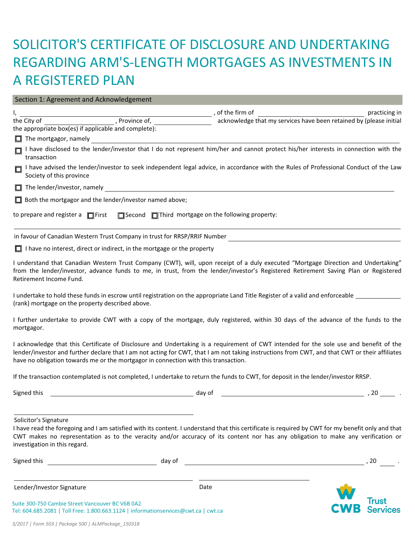# SOLICITOR'S CERTIFICATE OF DISCLOSURE AND UNDERTAKING REGARDING ARM'S-LENGTH MORTGAGES AS INVESTMENTS IN A REGISTERED PLAN

### I, , of the firm of practicing in the City of the City of the City of the City of the City of the City of the City of the City of the City of the Number of, the City of the City of the City of the City of the City of the City of the City of the City of the the appropriate box(es) if applicable and complete): □ I have disclosed to the lender/investor that I do not represent him/her and cannot protect his/her interests in connection with the transaction □ I have advised the lender/investor to seek independent legal advice, in accordance with the Rules of Professional Conduct of the Law Society of this province The lender/investor, namely  $\Box$  Both the mortgagor and the lender/investor named above; in favour of Canadian Western Trust Company in trust for RRSP/RRIF Number  $\Box$  I have no interest, direct or indirect, in the mortgage or the property I understand that Canadian Western Trust Company (CWT), will, upon receipt of a duly executed "Mortgage Direction and Undertaking" from the lender/investor, advance funds to me, in trust, from the lender/investor's Registered Retirement Saving Plan or Registered Retirement Income Fund. I undertake to hold these funds in escrow until registration on the appropriate Land Title Register of a valid and enforceable (rank) mortgage on the property described above. I further undertake to provide CWT with a copy of the mortgage, duly registered, within 30 days of the advance of the funds to the mortgagor. I acknowledge that this Certificate of Disclosure and Undertaking is a requirement of CWT intended for the sole use and benefit of the lender/investor and further declare that I am not acting for CWT, that I am not taking instructions from CWT, and that CWT or their affiliates have no obligation towards me or the mortgagor in connection with this transaction. If the transaction contemplated is not completed, I undertake to return the funds to CWT, for deposit in the lender/investor RRSP. Signed this day of , 20 . Solicitor's Signature  $\Box$  The mortgagor, namely I have read the foregoing and I am satisfied with its content. I understand that this certificate is required by CWT for my benefit only and that CWT makes no representation as to the veracity and/or accuracy of its content nor has any obligation to make any verification or investigation in this regard. Section 1: Agreement and Acknowledgement to prepare and register a  $\Box$  First  $\Box$  Second  $\Box$  Third mortgage on the following property:

| Signed this                                                                                                                             | day of | -20                 |
|-----------------------------------------------------------------------------------------------------------------------------------------|--------|---------------------|
| Lender/Investor Signature                                                                                                               | Date   |                     |
| Suite 300-750 Cambie Street Vancouver BC V6B 0A2<br>Tel: 604.685.2081   Toll Free: 1.800.663.1124   informationservices@cwt.ca   cwt.ca |        | <b>CWB Services</b> |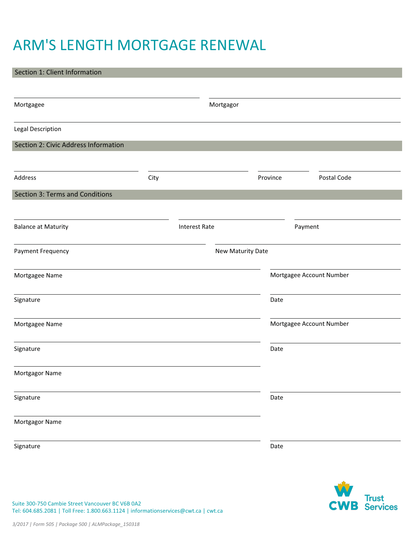# ARM'S LENGTH MORTGAGE RENEWAL

# Mortgagor Legal Description Section 2: Civic Address Information Address and the control of the City of the City of the City of the City of the City of the City of the City of the City of the City of the City of the City of the City of the City of the City of the City of the City of the Section 3: Terms and Conditions Balance at Maturity Payment Frequency **New Maturity Date** Mortgagee Name Signature Mortgagor Name Signature Mortgagee Name Signature Mortgagor Name Signature Section 1: Client Information Mortgagee Postal Code Interest Rate Payment Mortgagee Account Number Mortgagee Account Number Date Date Date Date



Suite 300-750 Cambie Street Vancouver BC V6B 0A2 Tel: 604.685.2081 | Toll Free: 1.800.663.1124 | informationservices@cwt.ca | cwt.ca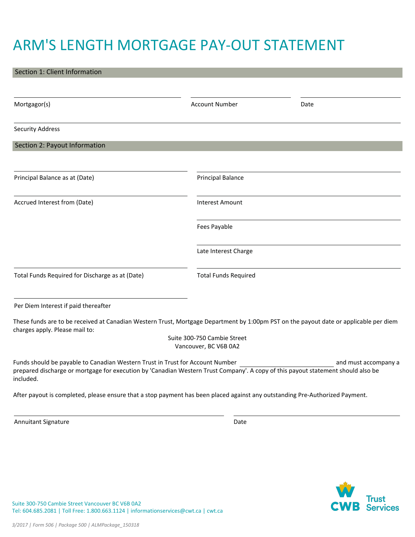# ARM'S LENGTH MORTGAGE PAY-OUT STATEMENT

| Section 1: Client Information                                                                                                                                                                                                  |                             |                      |
|--------------------------------------------------------------------------------------------------------------------------------------------------------------------------------------------------------------------------------|-----------------------------|----------------------|
|                                                                                                                                                                                                                                |                             |                      |
| Mortgagor(s)                                                                                                                                                                                                                   | <b>Account Number</b>       | Date                 |
| <b>Security Address</b>                                                                                                                                                                                                        |                             |                      |
| Section 2: Payout Information                                                                                                                                                                                                  |                             |                      |
| Principal Balance as at (Date)                                                                                                                                                                                                 | <b>Principal Balance</b>    |                      |
| Accrued Interest from (Date)                                                                                                                                                                                                   | <b>Interest Amount</b>      |                      |
|                                                                                                                                                                                                                                | Fees Payable                |                      |
|                                                                                                                                                                                                                                | Late Interest Charge        |                      |
| Total Funds Required for Discharge as at (Date)                                                                                                                                                                                | <b>Total Funds Required</b> |                      |
| Per Diem Interest if paid thereafter                                                                                                                                                                                           |                             |                      |
| These funds are to be received at Canadian Western Trust, Mortgage Department by 1:00pm PST on the payout date or applicable per diem<br>charges apply. Please mail to:                                                        | Suite 300-750 Cambie Street |                      |
|                                                                                                                                                                                                                                | Vancouver, BC V6B 0A2       |                      |
| Funds should be payable to Canadian Western Trust in Trust for Account Number<br>prepared discharge or mortgage for execution by 'Canadian Western Trust Company'. A copy of this payout statement should also be<br>included. |                             | and must accompany a |
| After payout is completed, please ensure that a stop payment has been placed against any outstanding Pre-Authorized Payment.                                                                                                   |                             |                      |

Annuitant Signature

Date



Suite 300-750 Cambie Street Vancouver BC V6B 0A2 Tel: 604.685.2081 | Toll Free: 1.800.663.1124 | informationservices@cwt.ca | cwt.ca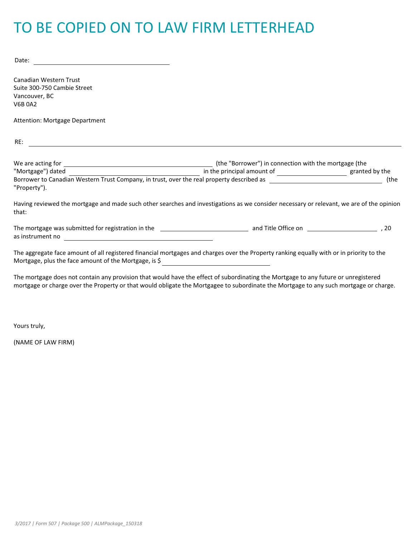# TO BE COPIED ON TO LAW FIRM LETTERHEAD

Date:

Canadian Western Trust Suite 300-750 Cambie Street Vancouver, BC V6B 0A2

Attention: Mortgage Department

RE:

| We are acting for |                                                                                           | (the "Borrower") in connection with the mortgage (the |
|-------------------|-------------------------------------------------------------------------------------------|-------------------------------------------------------|
| "Mortgage") dated | in the principal amount of                                                                | granted by the                                        |
|                   | Borrower to Canadian Western Trust Company, in trust, over the real property described as | (the                                                  |
| "Property").      |                                                                                           |                                                       |

Having reviewed the mortgage and made such other searches and investigations as we consider necessary or relevant, we are of the opinion that:

The mortgage was submitted for registration in the and Title Office on , 20 as instrument no and the contract of the contract of the contract of the contract of the contract of the contract of the contract of the contract of the contract of the contract of the contract of the contract of the contr

The aggregate face amount of all registered financial mortgages and charges over the Property ranking equally with or in priority to the Mortgage, plus the face amount of the Mortgage, is \$

The mortgage does not contain any provision that would have the effect of subordinating the Mortgage to any future or unregistered mortgage or charge over the Property or that would obligate the Mortgagee to subordinate the Mortgage to any such mortgage or charge.

Yours truly,

(NAME OF LAW FIRM)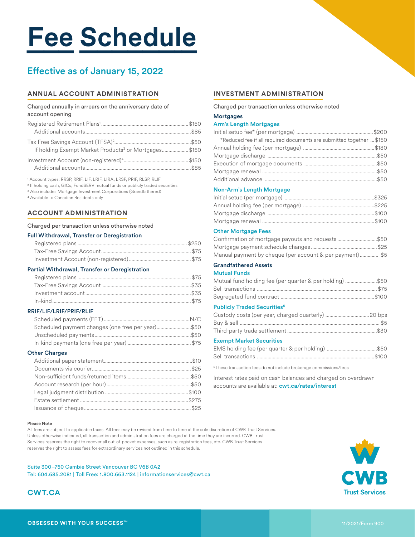# **Fee Schedule**

### Effective as of January 15, 2022

#### **ANNUAL ACCOUNT ADMINISTRATION**

#### Charged annually in arrears on the anniversary date of account opening

| If holding Exempt Market Products <sup>3</sup> or Mortgages\$150 |  |
|------------------------------------------------------------------|--|
|                                                                  |  |

1 Account types: RRSP, RRIF, LIF, LRIF, LIRA, LRSP, PRIF, RLSP, RLIF

2 If holding cash, GICs, FundSERV mutual funds or publicly traded securities

3 Also includes Mortgage Investment Corporations (Grandfathered)

4 Available to Canadian Residents only

#### **ACCOUNT ADMINISTRATION**

Charged per transaction unless otherwise noted

#### Full Withdrawal, Transfer or Deregistration

#### Partial Withdrawal, Transfer or Deregistration

#### RRIF/LIF/LRIF/PRIF/RLIF

| Scheduled payment changes (one free per year)\$50 |  |
|---------------------------------------------------|--|
|                                                   |  |
|                                                   |  |

#### Other Charges

#### **INVESTMENT ADMINISTRATION**

Charged per transaction unless otherwise noted

**Mortgages** 

#### Arm's Length Mortgages

| *Reduced fee if all required documents are submitted together  \$150 |  |
|----------------------------------------------------------------------|--|
|                                                                      |  |
|                                                                      |  |
|                                                                      |  |
|                                                                      |  |
|                                                                      |  |
| <b>Non-Arm's Length Mortgage</b>                                     |  |
|                                                                      |  |
|                                                                      |  |
|                                                                      |  |
|                                                                      |  |
| <b>Other Mortgage Fees</b>                                           |  |
| Confirmation of mortgage payouts and requests \$50                   |  |
|                                                                      |  |
| Manual payment by cheque (per account & per payment) \$5             |  |
| <b>Grandfathered Assets</b>                                          |  |
| <b>Mutual Funds</b>                                                  |  |
| Mutual fund holding fee (per quarter & per holding) \$50             |  |
|                                                                      |  |
|                                                                      |  |
| <b>Publicly Traded Securities<sup>5</sup></b>                        |  |
|                                                                      |  |
|                                                                      |  |
|                                                                      |  |
| <b>Exempt Market Securities</b>                                      |  |
|                                                                      |  |
|                                                                      |  |
|                                                                      |  |

5 These transaction fees do not include brokerage commissions/fees

Interest rates paid on cash balances and charged on overdrawn accounts are available at: **cwt.ca/rates/interest** 

#### Please Note

All fees are subject to applicable taxes. All fees may be revised from time to time at the sole discretion of CWB Trust Services. Unless otherwise indicated, all transaction and administration fees are charged at the time they are incurred. CWB Trust Services reserves the right to recover all out-of-pocket expenses, such as re-registration fees, etc. CWB Trust Services reserves the right to assess fees for extraordinary services not outlined in this schedule.

#### Suite 300–750 Cambie Street Vancouver BC V6B 0A2

Tel: 604.685.2081 | Toll Free: 1.800.663.1124 | informationservices@cwt.ca



#### **CWT.CA**